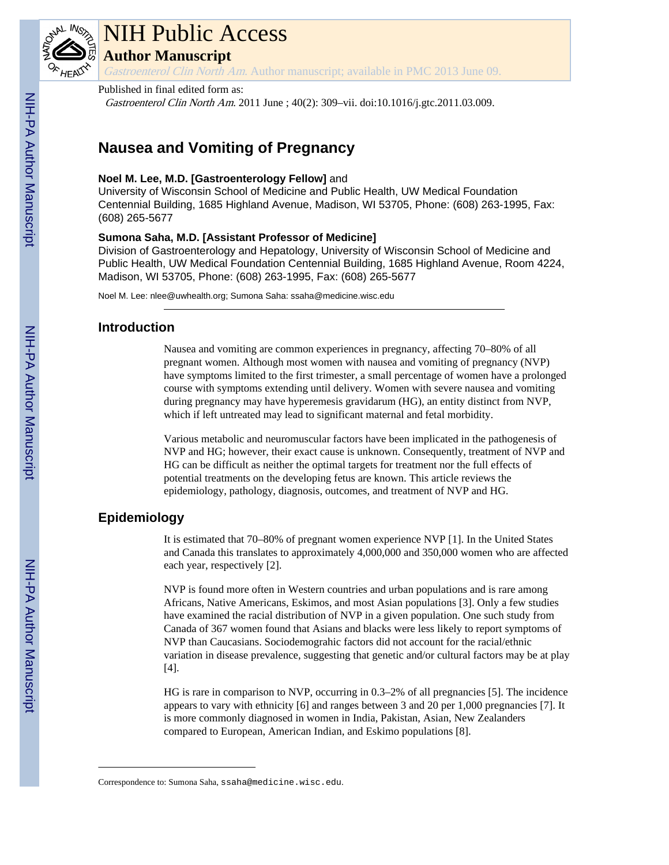

# NIH Public Access

**Author Manuscript**

Gastroenterol Clin North Am. Author manuscript; available in PMC 2013 June 09.

# Published in final edited form as:

Gastroenterol Clin North Am. 2011 June ; 40(2): 309–vii. doi:10.1016/j.gtc.2011.03.009.

# **Nausea and Vomiting of Pregnancy**

# **Noel M. Lee, M.D. [Gastroenterology Fellow]** and

University of Wisconsin School of Medicine and Public Health, UW Medical Foundation Centennial Building, 1685 Highland Avenue, Madison, WI 53705, Phone: (608) 263-1995, Fax: (608) 265-5677

# **Sumona Saha, M.D. [Assistant Professor of Medicine]**

Division of Gastroenterology and Hepatology, University of Wisconsin School of Medicine and Public Health, UW Medical Foundation Centennial Building, 1685 Highland Avenue, Room 4224, Madison, WI 53705, Phone: (608) 263-1995, Fax: (608) 265-5677

Noel M. Lee: nlee@uwhealth.org; Sumona Saha: ssaha@medicine.wisc.edu

# **Introduction**

Nausea and vomiting are common experiences in pregnancy, affecting 70–80% of all pregnant women. Although most women with nausea and vomiting of pregnancy (NVP) have symptoms limited to the first trimester, a small percentage of women have a prolonged course with symptoms extending until delivery. Women with severe nausea and vomiting during pregnancy may have hyperemesis gravidarum (HG), an entity distinct from NVP, which if left untreated may lead to significant maternal and fetal morbidity.

Various metabolic and neuromuscular factors have been implicated in the pathogenesis of NVP and HG; however, their exact cause is unknown. Consequently, treatment of NVP and HG can be difficult as neither the optimal targets for treatment nor the full effects of potential treatments on the developing fetus are known. This article reviews the epidemiology, pathology, diagnosis, outcomes, and treatment of NVP and HG.

# **Epidemiology**

It is estimated that 70–80% of pregnant women experience NVP [1]. In the United States and Canada this translates to approximately 4,000,000 and 350,000 women who are affected each year, respectively [2].

NVP is found more often in Western countries and urban populations and is rare among Africans, Native Americans, Eskimos, and most Asian populations [3]. Only a few studies have examined the racial distribution of NVP in a given population. One such study from Canada of 367 women found that Asians and blacks were less likely to report symptoms of NVP than Caucasians. Sociodemograhic factors did not account for the racial/ethnic variation in disease prevalence, suggesting that genetic and/or cultural factors may be at play [4].

HG is rare in comparison to NVP, occurring in 0.3–2% of all pregnancies [5]. The incidence appears to vary with ethnicity [6] and ranges between 3 and 20 per 1,000 pregnancies [7]. It is more commonly diagnosed in women in India, Pakistan, Asian, New Zealanders compared to European, American Indian, and Eskimo populations [8].

Correspondence to: Sumona Saha, ssaha@medicine.wisc.edu.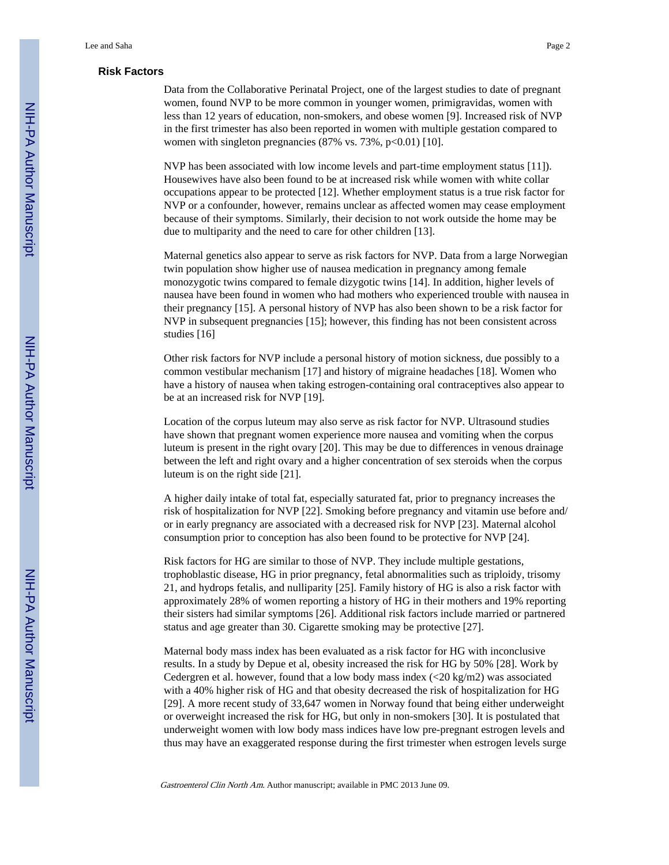## **Risk Factors**

Data from the Collaborative Perinatal Project, one of the largest studies to date of pregnant women, found NVP to be more common in younger women, primigravidas, women with less than 12 years of education, non-smokers, and obese women [9]. Increased risk of NVP in the first trimester has also been reported in women with multiple gestation compared to women with singleton pregnancies (87% vs. 73%, p<0.01) [10].

NVP has been associated with low income levels and part-time employment status [11]). Housewives have also been found to be at increased risk while women with white collar occupations appear to be protected [12]. Whether employment status is a true risk factor for NVP or a confounder, however, remains unclear as affected women may cease employment because of their symptoms. Similarly, their decision to not work outside the home may be due to multiparity and the need to care for other children [13].

Maternal genetics also appear to serve as risk factors for NVP. Data from a large Norwegian twin population show higher use of nausea medication in pregnancy among female monozygotic twins compared to female dizygotic twins [14]. In addition, higher levels of nausea have been found in women who had mothers who experienced trouble with nausea in their pregnancy [15]. A personal history of NVP has also been shown to be a risk factor for NVP in subsequent pregnancies [15]; however, this finding has not been consistent across studies [16]

Other risk factors for NVP include a personal history of motion sickness, due possibly to a common vestibular mechanism [17] and history of migraine headaches [18]. Women who have a history of nausea when taking estrogen-containing oral contraceptives also appear to be at an increased risk for NVP [19].

Location of the corpus luteum may also serve as risk factor for NVP. Ultrasound studies have shown that pregnant women experience more nausea and vomiting when the corpus luteum is present in the right ovary [20]. This may be due to differences in venous drainage between the left and right ovary and a higher concentration of sex steroids when the corpus luteum is on the right side [21].

A higher daily intake of total fat, especially saturated fat, prior to pregnancy increases the risk of hospitalization for NVP [22]. Smoking before pregnancy and vitamin use before and/ or in early pregnancy are associated with a decreased risk for NVP [23]. Maternal alcohol consumption prior to conception has also been found to be protective for NVP [24].

Risk factors for HG are similar to those of NVP. They include multiple gestations, trophoblastic disease, HG in prior pregnancy, fetal abnormalities such as triploidy, trisomy 21, and hydrops fetalis, and nulliparity [25]. Family history of HG is also a risk factor with approximately 28% of women reporting a history of HG in their mothers and 19% reporting their sisters had similar symptoms [26]. Additional risk factors include married or partnered status and age greater than 30. Cigarette smoking may be protective [27].

Maternal body mass index has been evaluated as a risk factor for HG with inconclusive results. In a study by Depue et al, obesity increased the risk for HG by 50% [28]. Work by Cedergren et al. however, found that a low body mass index  $\left( \langle 20 \text{ kg/m2} \rangle \right)$  was associated with a 40% higher risk of HG and that obesity decreased the risk of hospitalization for HG [29]. A more recent study of 33,647 women in Norway found that being either underweight or overweight increased the risk for HG, but only in non-smokers [30]. It is postulated that underweight women with low body mass indices have low pre-pregnant estrogen levels and thus may have an exaggerated response during the first trimester when estrogen levels surge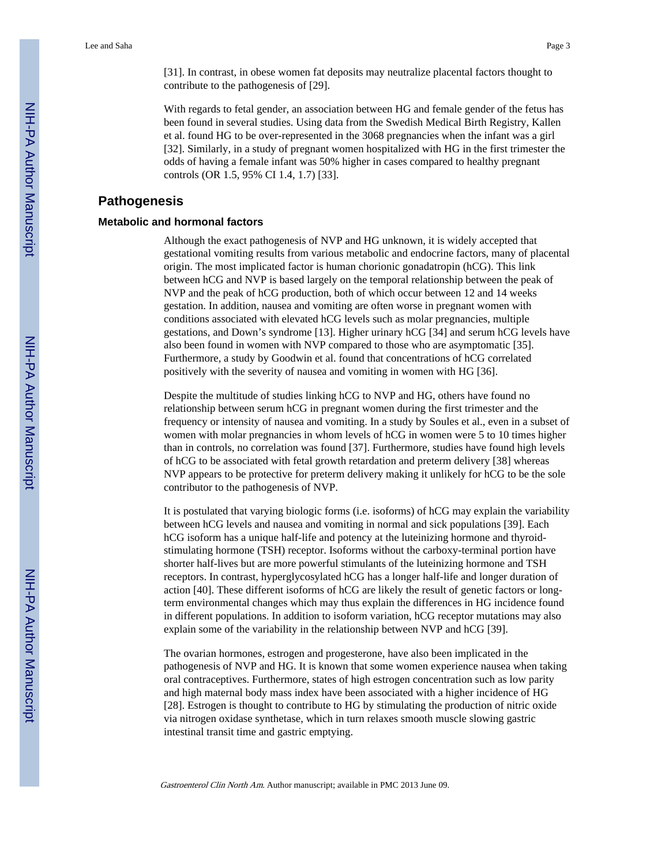[31]. In contrast, in obese women fat deposits may neutralize placental factors thought to contribute to the pathogenesis of [29].

With regards to fetal gender, an association between HG and female gender of the fetus has been found in several studies. Using data from the Swedish Medical Birth Registry, Kallen et al. found HG to be over-represented in the 3068 pregnancies when the infant was a girl [32]. Similarly, in a study of pregnant women hospitalized with HG in the first trimester the odds of having a female infant was 50% higher in cases compared to healthy pregnant controls (OR 1.5, 95% CI 1.4, 1.7) [33].

# **Pathogenesis**

# **Metabolic and hormonal factors**

Although the exact pathogenesis of NVP and HG unknown, it is widely accepted that gestational vomiting results from various metabolic and endocrine factors, many of placental origin. The most implicated factor is human chorionic gonadatropin (hCG). This link between hCG and NVP is based largely on the temporal relationship between the peak of NVP and the peak of hCG production, both of which occur between 12 and 14 weeks gestation. In addition, nausea and vomiting are often worse in pregnant women with conditions associated with elevated hCG levels such as molar pregnancies, multiple gestations, and Down's syndrome [13]. Higher urinary hCG [34] and serum hCG levels have also been found in women with NVP compared to those who are asymptomatic [35]. Furthermore, a study by Goodwin et al. found that concentrations of hCG correlated positively with the severity of nausea and vomiting in women with HG [36].

Despite the multitude of studies linking hCG to NVP and HG, others have found no relationship between serum hCG in pregnant women during the first trimester and the frequency or intensity of nausea and vomiting. In a study by Soules et al., even in a subset of women with molar pregnancies in whom levels of hCG in women were 5 to 10 times higher than in controls, no correlation was found [37]. Furthermore, studies have found high levels of hCG to be associated with fetal growth retardation and preterm delivery [38] whereas NVP appears to be protective for preterm delivery making it unlikely for hCG to be the sole contributor to the pathogenesis of NVP.

It is postulated that varying biologic forms (i.e. isoforms) of hCG may explain the variability between hCG levels and nausea and vomiting in normal and sick populations [39]. Each hCG isoform has a unique half-life and potency at the luteinizing hormone and thyroidstimulating hormone (TSH) receptor. Isoforms without the carboxy-terminal portion have shorter half-lives but are more powerful stimulants of the luteinizing hormone and TSH receptors. In contrast, hyperglycosylated hCG has a longer half-life and longer duration of action [40]. These different isoforms of hCG are likely the result of genetic factors or longterm environmental changes which may thus explain the differences in HG incidence found in different populations. In addition to isoform variation, hCG receptor mutations may also explain some of the variability in the relationship between NVP and hCG [39].

The ovarian hormones, estrogen and progesterone, have also been implicated in the pathogenesis of NVP and HG. It is known that some women experience nausea when taking oral contraceptives. Furthermore, states of high estrogen concentration such as low parity and high maternal body mass index have been associated with a higher incidence of HG [28]. Estrogen is thought to contribute to HG by stimulating the production of nitric oxide via nitrogen oxidase synthetase, which in turn relaxes smooth muscle slowing gastric intestinal transit time and gastric emptying.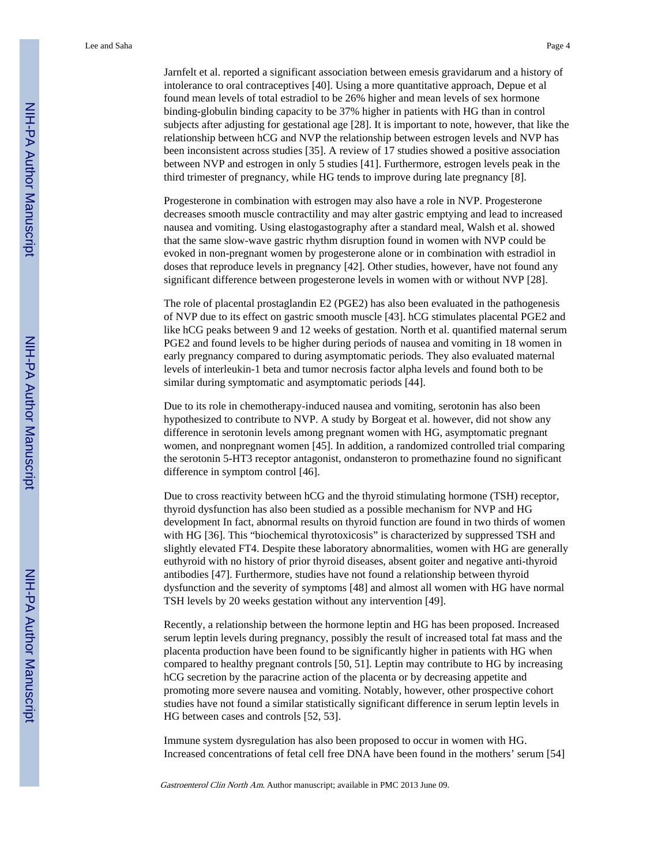Jarnfelt et al. reported a significant association between emesis gravidarum and a history of intolerance to oral contraceptives [40]. Using a more quantitative approach, Depue et al found mean levels of total estradiol to be 26% higher and mean levels of sex hormone binding-globulin binding capacity to be 37% higher in patients with HG than in control subjects after adjusting for gestational age [28]. It is important to note, however, that like the relationship between hCG and NVP the relationship between estrogen levels and NVP has been inconsistent across studies [35]. A review of 17 studies showed a positive association between NVP and estrogen in only 5 studies [41]. Furthermore, estrogen levels peak in the third trimester of pregnancy, while HG tends to improve during late pregnancy [8].

Progesterone in combination with estrogen may also have a role in NVP. Progesterone decreases smooth muscle contractility and may alter gastric emptying and lead to increased nausea and vomiting. Using elastogastography after a standard meal, Walsh et al. showed that the same slow-wave gastric rhythm disruption found in women with NVP could be evoked in non-pregnant women by progesterone alone or in combination with estradiol in doses that reproduce levels in pregnancy [42]. Other studies, however, have not found any significant difference between progesterone levels in women with or without NVP [28].

The role of placental prostaglandin E2 (PGE2) has also been evaluated in the pathogenesis of NVP due to its effect on gastric smooth muscle [43]. hCG stimulates placental PGE2 and like hCG peaks between 9 and 12 weeks of gestation. North et al. quantified maternal serum PGE2 and found levels to be higher during periods of nausea and vomiting in 18 women in early pregnancy compared to during asymptomatic periods. They also evaluated maternal levels of interleukin-1 beta and tumor necrosis factor alpha levels and found both to be similar during symptomatic and asymptomatic periods [44].

Due to its role in chemotherapy-induced nausea and vomiting, serotonin has also been hypothesized to contribute to NVP. A study by Borgeat et al. however, did not show any difference in serotonin levels among pregnant women with HG, asymptomatic pregnant women, and nonpregnant women [45]. In addition, a randomized controlled trial comparing the serotonin 5-HT3 receptor antagonist, ondansteron to promethazine found no significant difference in symptom control [46].

Due to cross reactivity between hCG and the thyroid stimulating hormone (TSH) receptor, thyroid dysfunction has also been studied as a possible mechanism for NVP and HG development In fact, abnormal results on thyroid function are found in two thirds of women with HG [36]. This "biochemical thyrotoxicosis" is characterized by suppressed TSH and slightly elevated FT4. Despite these laboratory abnormalities, women with HG are generally euthyroid with no history of prior thyroid diseases, absent goiter and negative anti-thyroid antibodies [47]. Furthermore, studies have not found a relationship between thyroid dysfunction and the severity of symptoms [48] and almost all women with HG have normal TSH levels by 20 weeks gestation without any intervention [49].

Recently, a relationship between the hormone leptin and HG has been proposed. Increased serum leptin levels during pregnancy, possibly the result of increased total fat mass and the placenta production have been found to be significantly higher in patients with HG when compared to healthy pregnant controls [50, 51]. Leptin may contribute to HG by increasing hCG secretion by the paracrine action of the placenta or by decreasing appetite and promoting more severe nausea and vomiting. Notably, however, other prospective cohort studies have not found a similar statistically significant difference in serum leptin levels in HG between cases and controls [52, 53].

Immune system dysregulation has also been proposed to occur in women with HG. Increased concentrations of fetal cell free DNA have been found in the mothers' serum [54]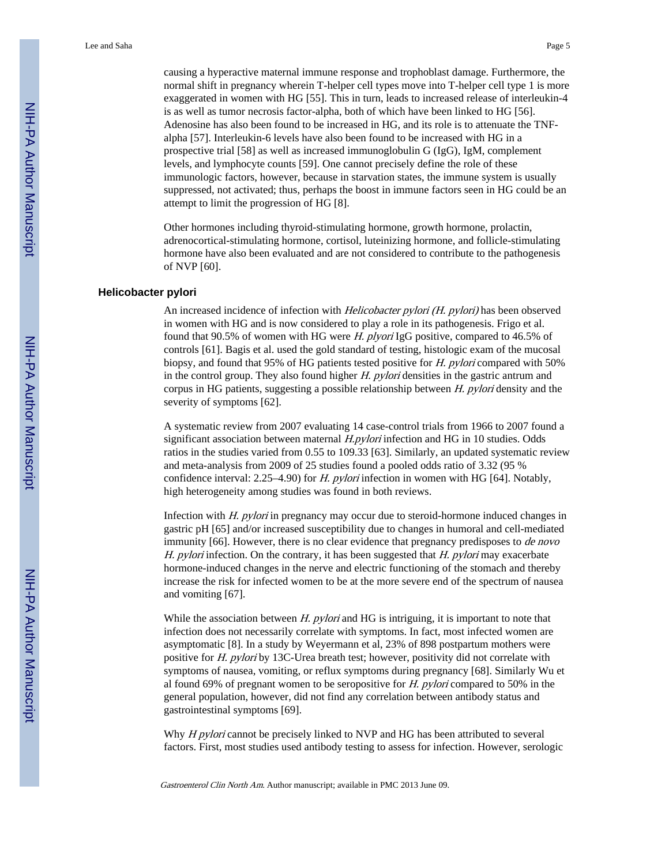causing a hyperactive maternal immune response and trophoblast damage. Furthermore, the normal shift in pregnancy wherein T-helper cell types move into T-helper cell type 1 is more exaggerated in women with HG [55]. This in turn, leads to increased release of interleukin-4 is as well as tumor necrosis factor-alpha, both of which have been linked to HG [56]. Adenosine has also been found to be increased in HG, and its role is to attenuate the TNFalpha [57]. Interleukin-6 levels have also been found to be increased with HG in a prospective trial [58] as well as increased immunoglobulin G (IgG), IgM, complement levels, and lymphocyte counts [59]. One cannot precisely define the role of these immunologic factors, however, because in starvation states, the immune system is usually suppressed, not activated; thus, perhaps the boost in immune factors seen in HG could be an attempt to limit the progression of HG [8].

Other hormones including thyroid-stimulating hormone, growth hormone, prolactin, adrenocortical-stimulating hormone, cortisol, luteinizing hormone, and follicle-stimulating hormone have also been evaluated and are not considered to contribute to the pathogenesis of NVP [60].

#### **Helicobacter pylori**

An increased incidence of infection with *Helicobacter pylori (H. pylori)* has been observed in women with HG and is now considered to play a role in its pathogenesis. Frigo et al. found that 90.5% of women with HG were H. plyori IgG positive, compared to 46.5% of controls [61]. Bagis et al. used the gold standard of testing, histologic exam of the mucosal biopsy, and found that 95% of HG patients tested positive for H. pylori compared with 50% in the control group. They also found higher H. pylori densities in the gastric antrum and corpus in HG patients, suggesting a possible relationship between H. pylori density and the severity of symptoms [62].

A systematic review from 2007 evaluating 14 case-control trials from 1966 to 2007 found a significant association between maternal *H.pylori* infection and HG in 10 studies. Odds ratios in the studies varied from 0.55 to 109.33 [63]. Similarly, an updated systematic review and meta-analysis from 2009 of 25 studies found a pooled odds ratio of 3.32 (95 % confidence interval: 2.25–4.90) for *H. pylori* infection in women with HG [64]. Notably, high heterogeneity among studies was found in both reviews.

Infection with H. pylori in pregnancy may occur due to steroid-hormone induced changes in gastric pH [65] and/or increased susceptibility due to changes in humoral and cell-mediated immunity [66]. However, there is no clear evidence that pregnancy predisposes to *de novo* H. pylori infection. On the contrary, it has been suggested that  $H.$  pylori may exacerbate hormone-induced changes in the nerve and electric functioning of the stomach and thereby increase the risk for infected women to be at the more severe end of the spectrum of nausea and vomiting [67].

While the association between  $H.$  pylori and  $HG$  is intriguing, it is important to note that infection does not necessarily correlate with symptoms. In fact, most infected women are asymptomatic [8]. In a study by Weyermann et al, 23% of 898 postpartum mothers were positive for H. pylori by 13C-Urea breath test; however, positivity did not correlate with symptoms of nausea, vomiting, or reflux symptoms during pregnancy [68]. Similarly Wu et al found 69% of pregnant women to be seropositive for  $H.$  pylori compared to 50% in the general population, however, did not find any correlation between antibody status and gastrointestinal symptoms [69].

Why *H pylori* cannot be precisely linked to NVP and HG has been attributed to several factors. First, most studies used antibody testing to assess for infection. However, serologic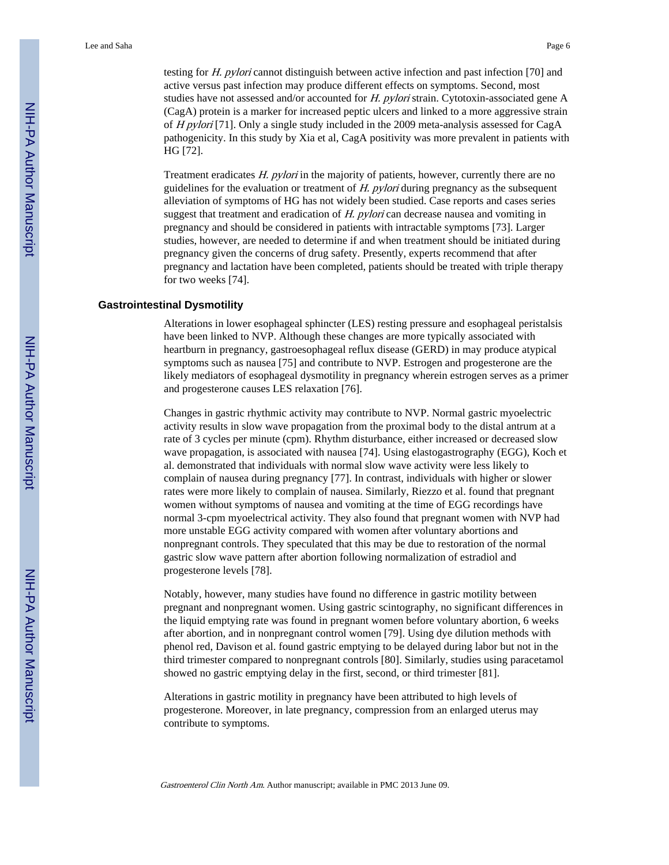testing for H. pylori cannot distinguish between active infection and past infection [70] and active versus past infection may produce different effects on symptoms. Second, most studies have not assessed and/or accounted for H. pylori strain. Cytotoxin-associated gene A (CagA) protein is a marker for increased peptic ulcers and linked to a more aggressive strain of H pylori [71]. Only a single study included in the 2009 meta-analysis assessed for CagA pathogenicity. In this study by Xia et al, CagA positivity was more prevalent in patients with HG [72].

Treatment eradicates H. pylori in the majority of patients, however, currently there are no guidelines for the evaluation or treatment of  $H$ . pylori during pregnancy as the subsequent alleviation of symptoms of HG has not widely been studied. Case reports and cases series suggest that treatment and eradication of  $H$ . pylori can decrease nausea and vomiting in pregnancy and should be considered in patients with intractable symptoms [73]. Larger studies, however, are needed to determine if and when treatment should be initiated during pregnancy given the concerns of drug safety. Presently, experts recommend that after pregnancy and lactation have been completed, patients should be treated with triple therapy for two weeks [74].

#### **Gastrointestinal Dysmotility**

Alterations in lower esophageal sphincter (LES) resting pressure and esophageal peristalsis have been linked to NVP. Although these changes are more typically associated with heartburn in pregnancy, gastroesophageal reflux disease (GERD) in may produce atypical symptoms such as nausea [75] and contribute to NVP. Estrogen and progesterone are the likely mediators of esophageal dysmotility in pregnancy wherein estrogen serves as a primer and progesterone causes LES relaxation [76].

Changes in gastric rhythmic activity may contribute to NVP. Normal gastric myoelectric activity results in slow wave propagation from the proximal body to the distal antrum at a rate of 3 cycles per minute (cpm). Rhythm disturbance, either increased or decreased slow wave propagation, is associated with nausea [74]. Using elastogastrography (EGG), Koch et al. demonstrated that individuals with normal slow wave activity were less likely to complain of nausea during pregnancy [77]. In contrast, individuals with higher or slower rates were more likely to complain of nausea. Similarly, Riezzo et al. found that pregnant women without symptoms of nausea and vomiting at the time of EGG recordings have normal 3-cpm myoelectrical activity. They also found that pregnant women with NVP had more unstable EGG activity compared with women after voluntary abortions and nonpregnant controls. They speculated that this may be due to restoration of the normal gastric slow wave pattern after abortion following normalization of estradiol and progesterone levels [78].

Notably, however, many studies have found no difference in gastric motility between pregnant and nonpregnant women. Using gastric scintography, no significant differences in the liquid emptying rate was found in pregnant women before voluntary abortion, 6 weeks after abortion, and in nonpregnant control women [79]. Using dye dilution methods with phenol red, Davison et al. found gastric emptying to be delayed during labor but not in the third trimester compared to nonpregnant controls [80]. Similarly, studies using paracetamol showed no gastric emptying delay in the first, second, or third trimester [81].

Alterations in gastric motility in pregnancy have been attributed to high levels of progesterone. Moreover, in late pregnancy, compression from an enlarged uterus may contribute to symptoms.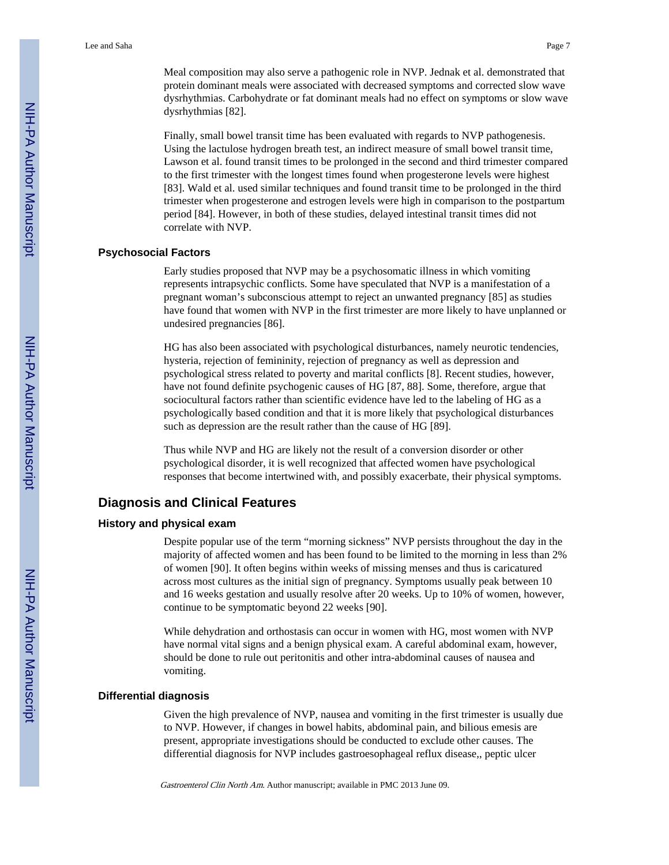Meal composition may also serve a pathogenic role in NVP. Jednak et al. demonstrated that protein dominant meals were associated with decreased symptoms and corrected slow wave dysrhythmias. Carbohydrate or fat dominant meals had no effect on symptoms or slow wave dysrhythmias [82].

Finally, small bowel transit time has been evaluated with regards to NVP pathogenesis. Using the lactulose hydrogen breath test, an indirect measure of small bowel transit time, Lawson et al. found transit times to be prolonged in the second and third trimester compared to the first trimester with the longest times found when progesterone levels were highest [83]. Wald et al. used similar techniques and found transit time to be prolonged in the third trimester when progesterone and estrogen levels were high in comparison to the postpartum period [84]. However, in both of these studies, delayed intestinal transit times did not correlate with NVP.

#### **Psychosocial Factors**

Early studies proposed that NVP may be a psychosomatic illness in which vomiting represents intrapsychic conflicts. Some have speculated that NVP is a manifestation of a pregnant woman's subconscious attempt to reject an unwanted pregnancy [85] as studies have found that women with NVP in the first trimester are more likely to have unplanned or undesired pregnancies [86].

HG has also been associated with psychological disturbances, namely neurotic tendencies, hysteria, rejection of femininity, rejection of pregnancy as well as depression and psychological stress related to poverty and marital conflicts [8]. Recent studies, however, have not found definite psychogenic causes of HG [87, 88]. Some, therefore, argue that sociocultural factors rather than scientific evidence have led to the labeling of HG as a psychologically based condition and that it is more likely that psychological disturbances such as depression are the result rather than the cause of HG [89].

Thus while NVP and HG are likely not the result of a conversion disorder or other psychological disorder, it is well recognized that affected women have psychological responses that become intertwined with, and possibly exacerbate, their physical symptoms.

# **Diagnosis and Clinical Features**

## **History and physical exam**

Despite popular use of the term "morning sickness" NVP persists throughout the day in the majority of affected women and has been found to be limited to the morning in less than 2% of women [90]. It often begins within weeks of missing menses and thus is caricatured across most cultures as the initial sign of pregnancy. Symptoms usually peak between 10 and 16 weeks gestation and usually resolve after 20 weeks. Up to 10% of women, however, continue to be symptomatic beyond 22 weeks [90].

While dehydration and orthostasis can occur in women with HG, most women with NVP have normal vital signs and a benign physical exam. A careful abdominal exam, however, should be done to rule out peritonitis and other intra-abdominal causes of nausea and vomiting.

#### **Differential diagnosis**

Given the high prevalence of NVP, nausea and vomiting in the first trimester is usually due to NVP. However, if changes in bowel habits, abdominal pain, and bilious emesis are present, appropriate investigations should be conducted to exclude other causes. The differential diagnosis for NVP includes gastroesophageal reflux disease,, peptic ulcer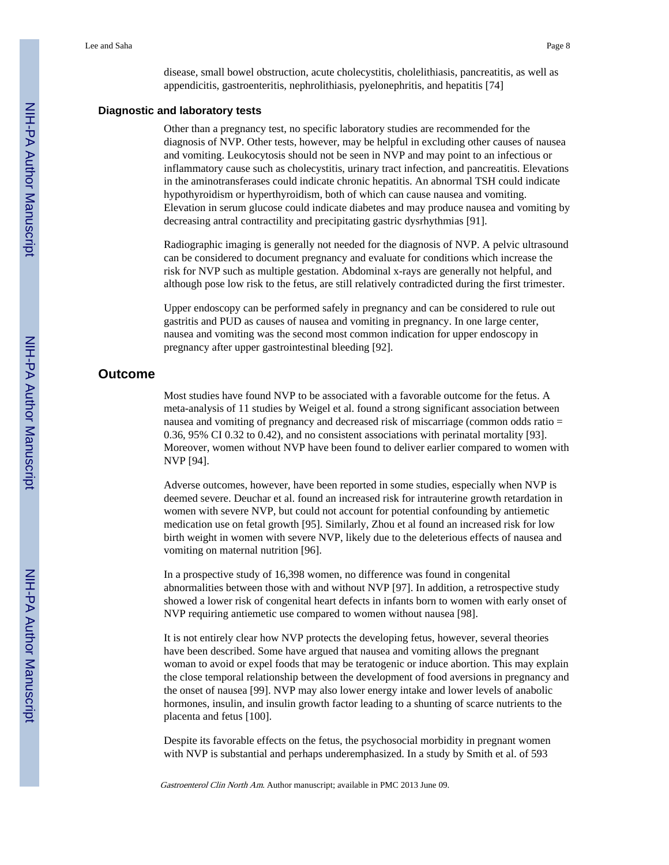disease, small bowel obstruction, acute cholecystitis, cholelithiasis, pancreatitis, as well as appendicitis, gastroenteritis, nephrolithiasis, pyelonephritis, and hepatitis [74]

# **Diagnostic and laboratory tests**

Other than a pregnancy test, no specific laboratory studies are recommended for the diagnosis of NVP. Other tests, however, may be helpful in excluding other causes of nausea and vomiting. Leukocytosis should not be seen in NVP and may point to an infectious or inflammatory cause such as cholecystitis, urinary tract infection, and pancreatitis. Elevations in the aminotransferases could indicate chronic hepatitis. An abnormal TSH could indicate hypothyroidism or hyperthyroidism, both of which can cause nausea and vomiting. Elevation in serum glucose could indicate diabetes and may produce nausea and vomiting by decreasing antral contractility and precipitating gastric dysrhythmias [91].

Radiographic imaging is generally not needed for the diagnosis of NVP. A pelvic ultrasound can be considered to document pregnancy and evaluate for conditions which increase the risk for NVP such as multiple gestation. Abdominal x-rays are generally not helpful, and although pose low risk to the fetus, are still relatively contradicted during the first trimester.

Upper endoscopy can be performed safely in pregnancy and can be considered to rule out gastritis and PUD as causes of nausea and vomiting in pregnancy. In one large center, nausea and vomiting was the second most common indication for upper endoscopy in pregnancy after upper gastrointestinal bleeding [92].

# **Outcome**

Most studies have found NVP to be associated with a favorable outcome for the fetus. A meta-analysis of 11 studies by Weigel et al. found a strong significant association between nausea and vomiting of pregnancy and decreased risk of miscarriage (common odds ratio = 0.36, 95% CI 0.32 to 0.42), and no consistent associations with perinatal mortality [93]. Moreover, women without NVP have been found to deliver earlier compared to women with NVP [94].

Adverse outcomes, however, have been reported in some studies, especially when NVP is deemed severe. Deuchar et al. found an increased risk for intrauterine growth retardation in women with severe NVP, but could not account for potential confounding by antiemetic medication use on fetal growth [95]. Similarly, Zhou et al found an increased risk for low birth weight in women with severe NVP, likely due to the deleterious effects of nausea and vomiting on maternal nutrition [96].

In a prospective study of 16,398 women, no difference was found in congenital abnormalities between those with and without NVP [97]. In addition, a retrospective study showed a lower risk of congenital heart defects in infants born to women with early onset of NVP requiring antiemetic use compared to women without nausea [98].

It is not entirely clear how NVP protects the developing fetus, however, several theories have been described. Some have argued that nausea and vomiting allows the pregnant woman to avoid or expel foods that may be teratogenic or induce abortion. This may explain the close temporal relationship between the development of food aversions in pregnancy and the onset of nausea [99]. NVP may also lower energy intake and lower levels of anabolic hormones, insulin, and insulin growth factor leading to a shunting of scarce nutrients to the placenta and fetus [100].

Despite its favorable effects on the fetus, the psychosocial morbidity in pregnant women with NVP is substantial and perhaps underemphasized. In a study by Smith et al. of 593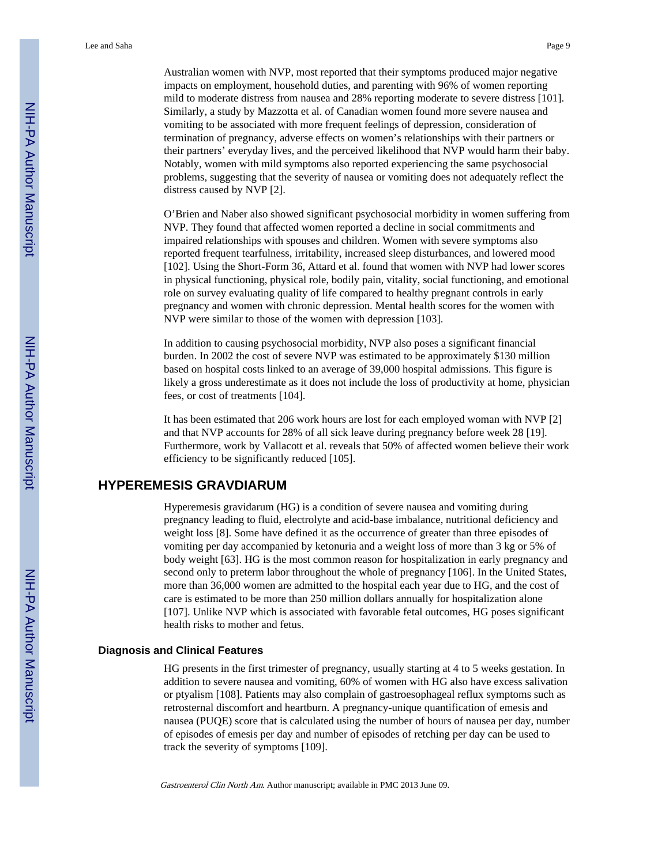Australian women with NVP, most reported that their symptoms produced major negative impacts on employment, household duties, and parenting with 96% of women reporting mild to moderate distress from nausea and 28% reporting moderate to severe distress [101]. Similarly, a study by Mazzotta et al. of Canadian women found more severe nausea and vomiting to be associated with more frequent feelings of depression, consideration of termination of pregnancy, adverse effects on women's relationships with their partners or their partners' everyday lives, and the perceived likelihood that NVP would harm their baby. Notably, women with mild symptoms also reported experiencing the same psychosocial problems, suggesting that the severity of nausea or vomiting does not adequately reflect the distress caused by NVP [2].

O'Brien and Naber also showed significant psychosocial morbidity in women suffering from NVP. They found that affected women reported a decline in social commitments and impaired relationships with spouses and children. Women with severe symptoms also reported frequent tearfulness, irritability, increased sleep disturbances, and lowered mood [102]. Using the Short-Form 36, Attard et al. found that women with NVP had lower scores in physical functioning, physical role, bodily pain, vitality, social functioning, and emotional role on survey evaluating quality of life compared to healthy pregnant controls in early pregnancy and women with chronic depression. Mental health scores for the women with NVP were similar to those of the women with depression [103].

In addition to causing psychosocial morbidity, NVP also poses a significant financial burden. In 2002 the cost of severe NVP was estimated to be approximately \$130 million based on hospital costs linked to an average of 39,000 hospital admissions. This figure is likely a gross underestimate as it does not include the loss of productivity at home, physician fees, or cost of treatments [104].

It has been estimated that 206 work hours are lost for each employed woman with NVP [2] and that NVP accounts for 28% of all sick leave during pregnancy before week 28 [19]. Furthermore, work by Vallacott et al. reveals that 50% of affected women believe their work efficiency to be significantly reduced [105].

# **HYPEREMESIS GRAVDIARUM**

Hyperemesis gravidarum (HG) is a condition of severe nausea and vomiting during pregnancy leading to fluid, electrolyte and acid-base imbalance, nutritional deficiency and weight loss [8]. Some have defined it as the occurrence of greater than three episodes of vomiting per day accompanied by ketonuria and a weight loss of more than 3 kg or 5% of body weight [63]. HG is the most common reason for hospitalization in early pregnancy and second only to preterm labor throughout the whole of pregnancy [106]. In the United States, more than 36,000 women are admitted to the hospital each year due to HG, and the cost of care is estimated to be more than 250 million dollars annually for hospitalization alone [107]. Unlike NVP which is associated with favorable fetal outcomes, HG poses significant health risks to mother and fetus.

#### **Diagnosis and Clinical Features**

HG presents in the first trimester of pregnancy, usually starting at 4 to 5 weeks gestation. In addition to severe nausea and vomiting, 60% of women with HG also have excess salivation or ptyalism [108]. Patients may also complain of gastroesophageal reflux symptoms such as retrosternal discomfort and heartburn. A pregnancy-unique quantification of emesis and nausea (PUQE) score that is calculated using the number of hours of nausea per day, number of episodes of emesis per day and number of episodes of retching per day can be used to track the severity of symptoms [109].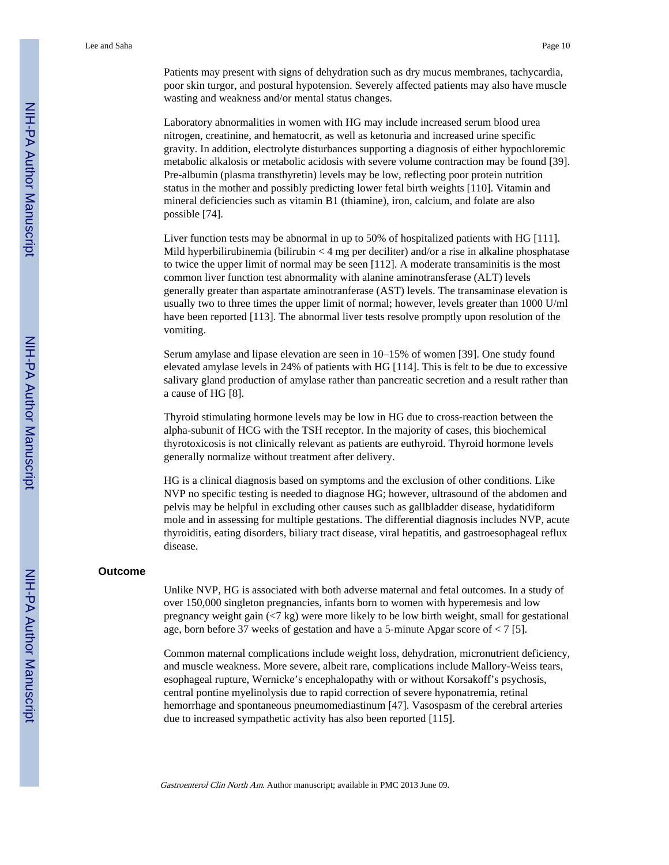Patients may present with signs of dehydration such as dry mucus membranes, tachycardia, poor skin turgor, and postural hypotension. Severely affected patients may also have muscle wasting and weakness and/or mental status changes.

Laboratory abnormalities in women with HG may include increased serum blood urea nitrogen, creatinine, and hematocrit, as well as ketonuria and increased urine specific gravity. In addition, electrolyte disturbances supporting a diagnosis of either hypochloremic metabolic alkalosis or metabolic acidosis with severe volume contraction may be found [39]. Pre-albumin (plasma transthyretin) levels may be low, reflecting poor protein nutrition status in the mother and possibly predicting lower fetal birth weights [110]. Vitamin and mineral deficiencies such as vitamin B1 (thiamine), iron, calcium, and folate are also possible [74].

Liver function tests may be abnormal in up to 50% of hospitalized patients with HG [111]. Mild hyperbilirubinemia (bilirubin < 4 mg per deciliter) and/or a rise in alkaline phosphatase to twice the upper limit of normal may be seen [112]. A moderate transaminitis is the most common liver function test abnormality with alanine aminotransferase (ALT) levels generally greater than aspartate aminotranferase (AST) levels. The transaminase elevation is usually two to three times the upper limit of normal; however, levels greater than 1000 U/ml have been reported [113]. The abnormal liver tests resolve promptly upon resolution of the vomiting.

Serum amylase and lipase elevation are seen in 10–15% of women [39]. One study found elevated amylase levels in 24% of patients with HG [114]. This is felt to be due to excessive salivary gland production of amylase rather than pancreatic secretion and a result rather than a cause of HG [8].

Thyroid stimulating hormone levels may be low in HG due to cross-reaction between the alpha-subunit of HCG with the TSH receptor. In the majority of cases, this biochemical thyrotoxicosis is not clinically relevant as patients are euthyroid. Thyroid hormone levels generally normalize without treatment after delivery.

HG is a clinical diagnosis based on symptoms and the exclusion of other conditions. Like NVP no specific testing is needed to diagnose HG; however, ultrasound of the abdomen and pelvis may be helpful in excluding other causes such as gallbladder disease, hydatidiform mole and in assessing for multiple gestations. The differential diagnosis includes NVP, acute thyroiditis, eating disorders, biliary tract disease, viral hepatitis, and gastroesophageal reflux disease.

#### **Outcome**

Unlike NVP, HG is associated with both adverse maternal and fetal outcomes. In a study of over 150,000 singleton pregnancies, infants born to women with hyperemesis and low pregnancy weight gain (<7 kg) were more likely to be low birth weight, small for gestational age, born before 37 weeks of gestation and have a 5-minute Apgar score of < 7 [5].

Common maternal complications include weight loss, dehydration, micronutrient deficiency, and muscle weakness. More severe, albeit rare, complications include Mallory-Weiss tears, esophageal rupture, Wernicke's encephalopathy with or without Korsakoff's psychosis, central pontine myelinolysis due to rapid correction of severe hyponatremia, retinal hemorrhage and spontaneous pneumomediastinum [47]. Vasospasm of the cerebral arteries due to increased sympathetic activity has also been reported [115].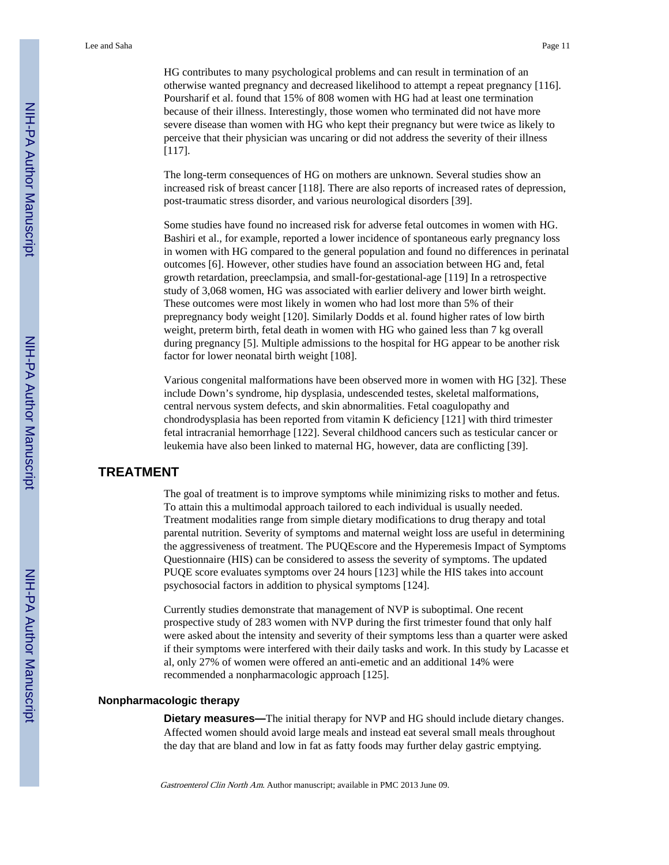HG contributes to many psychological problems and can result in termination of an otherwise wanted pregnancy and decreased likelihood to attempt a repeat pregnancy [116]. Poursharif et al. found that 15% of 808 women with HG had at least one termination because of their illness. Interestingly, those women who terminated did not have more severe disease than women with HG who kept their pregnancy but were twice as likely to perceive that their physician was uncaring or did not address the severity of their illness [117].

The long-term consequences of HG on mothers are unknown. Several studies show an increased risk of breast cancer [118]. There are also reports of increased rates of depression, post-traumatic stress disorder, and various neurological disorders [39].

Some studies have found no increased risk for adverse fetal outcomes in women with HG. Bashiri et al., for example, reported a lower incidence of spontaneous early pregnancy loss in women with HG compared to the general population and found no differences in perinatal outcomes [6]. However, other studies have found an association between HG and, fetal growth retardation, preeclampsia, and small-for-gestational-age [119] In a retrospective study of 3,068 women, HG was associated with earlier delivery and lower birth weight. These outcomes were most likely in women who had lost more than 5% of their prepregnancy body weight [120]. Similarly Dodds et al. found higher rates of low birth weight, preterm birth, fetal death in women with HG who gained less than 7 kg overall during pregnancy [5]. Multiple admissions to the hospital for HG appear to be another risk factor for lower neonatal birth weight [108].

Various congenital malformations have been observed more in women with HG [32]. These include Down's syndrome, hip dysplasia, undescended testes, skeletal malformations, central nervous system defects, and skin abnormalities. Fetal coagulopathy and chondrodysplasia has been reported from vitamin K deficiency [121] with third trimester fetal intracranial hemorrhage [122]. Several childhood cancers such as testicular cancer or leukemia have also been linked to maternal HG, however, data are conflicting [39].

# **TREATMENT**

The goal of treatment is to improve symptoms while minimizing risks to mother and fetus. To attain this a multimodal approach tailored to each individual is usually needed. Treatment modalities range from simple dietary modifications to drug therapy and total parental nutrition. Severity of symptoms and maternal weight loss are useful in determining the aggressiveness of treatment. The PUQEscore and the Hyperemesis Impact of Symptoms Questionnaire (HIS) can be considered to assess the severity of symptoms. The updated PUQE score evaluates symptoms over 24 hours [123] while the HIS takes into account psychosocial factors in addition to physical symptoms [124].

Currently studies demonstrate that management of NVP is suboptimal. One recent prospective study of 283 women with NVP during the first trimester found that only half were asked about the intensity and severity of their symptoms less than a quarter were asked if their symptoms were interfered with their daily tasks and work. In this study by Lacasse et al, only 27% of women were offered an anti-emetic and an additional 14% were recommended a nonpharmacologic approach [125].

#### **Nonpharmacologic therapy**

**Dietary measures—**The initial therapy for NVP and HG should include dietary changes. Affected women should avoid large meals and instead eat several small meals throughout the day that are bland and low in fat as fatty foods may further delay gastric emptying.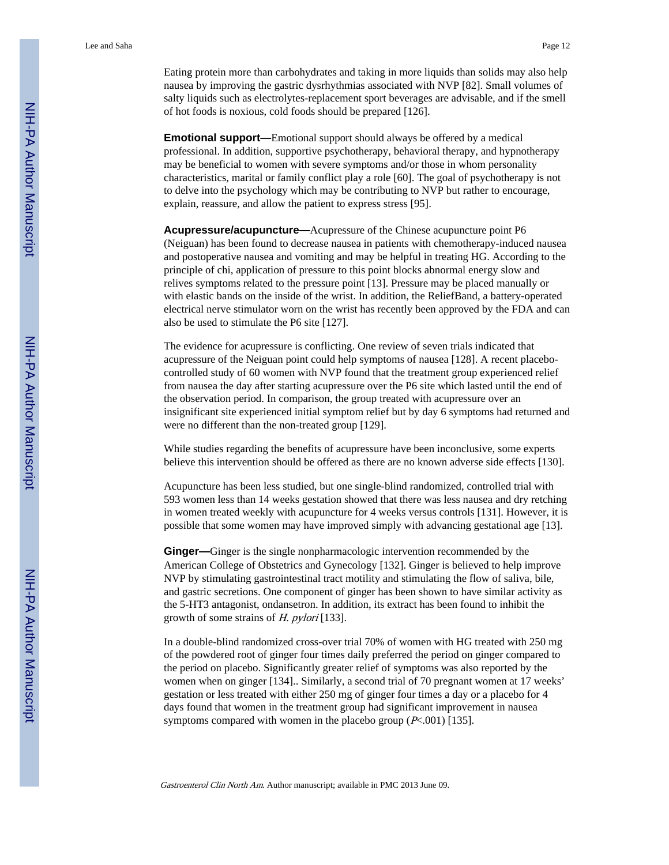Eating protein more than carbohydrates and taking in more liquids than solids may also help nausea by improving the gastric dysrhythmias associated with NVP [82]. Small volumes of salty liquids such as electrolytes-replacement sport beverages are advisable, and if the smell of hot foods is noxious, cold foods should be prepared [126].

**Emotional support—**Emotional support should always be offered by a medical professional. In addition, supportive psychotherapy, behavioral therapy, and hypnotherapy may be beneficial to women with severe symptoms and/or those in whom personality characteristics, marital or family conflict play a role [60]. The goal of psychotherapy is not to delve into the psychology which may be contributing to NVP but rather to encourage, explain, reassure, and allow the patient to express stress [95].

**Acupressure/acupuncture—**Acupressure of the Chinese acupuncture point P6 (Neiguan) has been found to decrease nausea in patients with chemotherapy-induced nausea and postoperative nausea and vomiting and may be helpful in treating HG. According to the principle of chi, application of pressure to this point blocks abnormal energy slow and relives symptoms related to the pressure point [13]. Pressure may be placed manually or with elastic bands on the inside of the wrist. In addition, the ReliefBand, a battery-operated electrical nerve stimulator worn on the wrist has recently been approved by the FDA and can also be used to stimulate the P6 site [127].

The evidence for acupressure is conflicting. One review of seven trials indicated that acupressure of the Neiguan point could help symptoms of nausea [128]. A recent placebocontrolled study of 60 women with NVP found that the treatment group experienced relief from nausea the day after starting acupressure over the P6 site which lasted until the end of the observation period. In comparison, the group treated with acupressure over an insignificant site experienced initial symptom relief but by day 6 symptoms had returned and were no different than the non-treated group [129].

While studies regarding the benefits of acupressure have been inconclusive, some experts believe this intervention should be offered as there are no known adverse side effects [130].

Acupuncture has been less studied, but one single-blind randomized, controlled trial with 593 women less than 14 weeks gestation showed that there was less nausea and dry retching in women treated weekly with acupuncture for 4 weeks versus controls [131]. However, it is possible that some women may have improved simply with advancing gestational age [13].

**Ginger—**Ginger is the single nonpharmacologic intervention recommended by the American College of Obstetrics and Gynecology [132]. Ginger is believed to help improve NVP by stimulating gastrointestinal tract motility and stimulating the flow of saliva, bile, and gastric secretions. One component of ginger has been shown to have similar activity as the 5-HT3 antagonist, ondansetron. In addition, its extract has been found to inhibit the growth of some strains of H. pylori [133].

In a double-blind randomized cross-over trial 70% of women with HG treated with 250 mg of the powdered root of ginger four times daily preferred the period on ginger compared to the period on placebo. Significantly greater relief of symptoms was also reported by the women when on ginger [134].. Similarly, a second trial of 70 pregnant women at 17 weeks' gestation or less treated with either 250 mg of ginger four times a day or a placebo for 4 days found that women in the treatment group had significant improvement in nausea symptoms compared with women in the placebo group  $(P<.001)$  [135].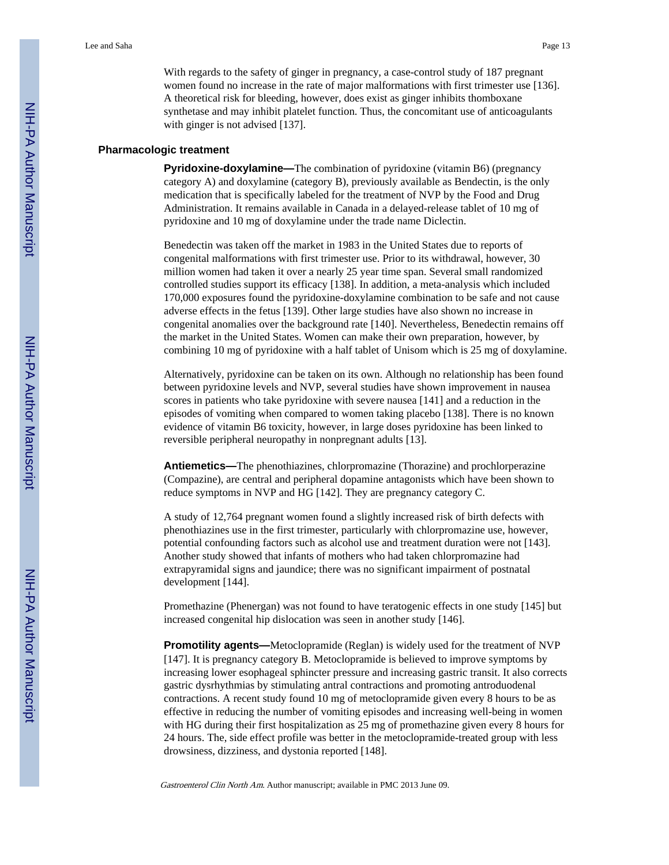With regards to the safety of ginger in pregnancy, a case-control study of 187 pregnant women found no increase in the rate of major malformations with first trimester use [136]. A theoretical risk for bleeding, however, does exist as ginger inhibits thomboxane synthetase and may inhibit platelet function. Thus, the concomitant use of anticoagulants with ginger is not advised [137].

## **Pharmacologic treatment**

**Pyridoxine-doxylamine—**The combination of pyridoxine (vitamin B6) (pregnancy category A) and doxylamine (category B), previously available as Bendectin, is the only medication that is specifically labeled for the treatment of NVP by the Food and Drug Administration. It remains available in Canada in a delayed-release tablet of 10 mg of pyridoxine and 10 mg of doxylamine under the trade name Diclectin.

Benedectin was taken off the market in 1983 in the United States due to reports of congenital malformations with first trimester use. Prior to its withdrawal, however, 30 million women had taken it over a nearly 25 year time span. Several small randomized controlled studies support its efficacy [138]. In addition, a meta-analysis which included 170,000 exposures found the pyridoxine-doxylamine combination to be safe and not cause adverse effects in the fetus [139]. Other large studies have also shown no increase in congenital anomalies over the background rate [140]. Nevertheless, Benedectin remains off the market in the United States. Women can make their own preparation, however, by combining 10 mg of pyridoxine with a half tablet of Unisom which is 25 mg of doxylamine.

Alternatively, pyridoxine can be taken on its own. Although no relationship has been found between pyridoxine levels and NVP, several studies have shown improvement in nausea scores in patients who take pyridoxine with severe nausea [141] and a reduction in the episodes of vomiting when compared to women taking placebo [138]. There is no known evidence of vitamin B6 toxicity, however, in large doses pyridoxine has been linked to reversible peripheral neuropathy in nonpregnant adults [13].

**Antiemetics—**The phenothiazines, chlorpromazine (Thorazine) and prochlorperazine (Compazine), are central and peripheral dopamine antagonists which have been shown to reduce symptoms in NVP and HG [142]. They are pregnancy category C.

A study of 12,764 pregnant women found a slightly increased risk of birth defects with phenothiazines use in the first trimester, particularly with chlorpromazine use, however, potential confounding factors such as alcohol use and treatment duration were not [143]. Another study showed that infants of mothers who had taken chlorpromazine had extrapyramidal signs and jaundice; there was no significant impairment of postnatal development [144].

Promethazine (Phenergan) was not found to have teratogenic effects in one study [145] but increased congenital hip dislocation was seen in another study [146].

**Promotility agents—**Metoclopramide (Reglan) is widely used for the treatment of NVP [147]. It is pregnancy category B. Metoclopramide is believed to improve symptoms by increasing lower esophageal sphincter pressure and increasing gastric transit. It also corrects gastric dysrhythmias by stimulating antral contractions and promoting antroduodenal contractions. A recent study found 10 mg of metoclopramide given every 8 hours to be as effective in reducing the number of vomiting episodes and increasing well-being in women with HG during their first hospitalization as 25 mg of promethazine given every 8 hours for 24 hours. The, side effect profile was better in the metoclopramide-treated group with less drowsiness, dizziness, and dystonia reported [148].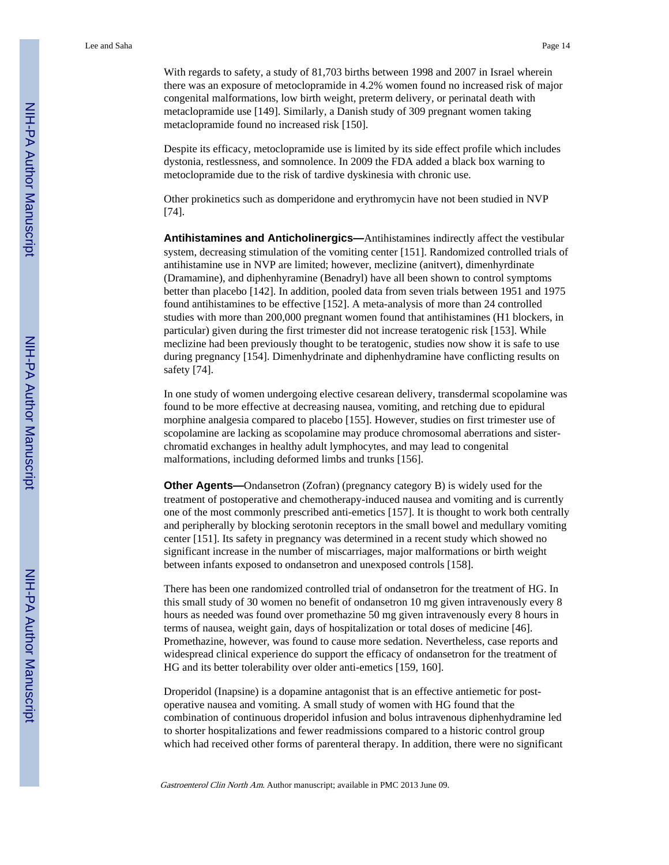With regards to safety, a study of 81,703 births between 1998 and 2007 in Israel wherein there was an exposure of metoclopramide in 4.2% women found no increased risk of major congenital malformations, low birth weight, preterm delivery, or perinatal death with metaclopramide use [149]. Similarly, a Danish study of 309 pregnant women taking metaclopramide found no increased risk [150].

Despite its efficacy, metoclopramide use is limited by its side effect profile which includes dystonia, restlessness, and somnolence. In 2009 the FDA added a black box warning to metoclopramide due to the risk of tardive dyskinesia with chronic use.

Other prokinetics such as domperidone and erythromycin have not been studied in NVP [74].

**Antihistamines and Anticholinergics—**Antihistamines indirectly affect the vestibular system, decreasing stimulation of the vomiting center [151]. Randomized controlled trials of antihistamine use in NVP are limited; however, meclizine (anitvert), dimenhyrdinate (Dramamine), and diphenhyramine (Benadryl) have all been shown to control symptoms better than placebo [142]. In addition, pooled data from seven trials between 1951 and 1975 found antihistamines to be effective [152]. A meta-analysis of more than 24 controlled studies with more than 200,000 pregnant women found that antihistamines (H1 blockers, in particular) given during the first trimester did not increase teratogenic risk [153]. While meclizine had been previously thought to be teratogenic, studies now show it is safe to use during pregnancy [154]. Dimenhydrinate and diphenhydramine have conflicting results on safety [74].

In one study of women undergoing elective cesarean delivery, transdermal scopolamine was found to be more effective at decreasing nausea, vomiting, and retching due to epidural morphine analgesia compared to placebo [155]. However, studies on first trimester use of scopolamine are lacking as scopolamine may produce chromosomal aberrations and sisterchromatid exchanges in healthy adult lymphocytes, and may lead to congenital malformations, including deformed limbs and trunks [156].

**Other Agents—**Ondansetron (Zofran) (pregnancy category B) is widely used for the treatment of postoperative and chemotherapy-induced nausea and vomiting and is currently one of the most commonly prescribed anti-emetics [157]. It is thought to work both centrally and peripherally by blocking serotonin receptors in the small bowel and medullary vomiting center [151]. Its safety in pregnancy was determined in a recent study which showed no significant increase in the number of miscarriages, major malformations or birth weight between infants exposed to ondansetron and unexposed controls [158].

There has been one randomized controlled trial of ondansetron for the treatment of HG. In this small study of 30 women no benefit of ondansetron 10 mg given intravenously every 8 hours as needed was found over promethazine 50 mg given intravenously every 8 hours in terms of nausea, weight gain, days of hospitalization or total doses of medicine [46]. Promethazine, however, was found to cause more sedation. Nevertheless, case reports and widespread clinical experience do support the efficacy of ondansetron for the treatment of HG and its better tolerability over older anti-emetics [159, 160].

Droperidol (Inapsine) is a dopamine antagonist that is an effective antiemetic for postoperative nausea and vomiting. A small study of women with HG found that the combination of continuous droperidol infusion and bolus intravenous diphenhydramine led to shorter hospitalizations and fewer readmissions compared to a historic control group which had received other forms of parenteral therapy. In addition, there were no significant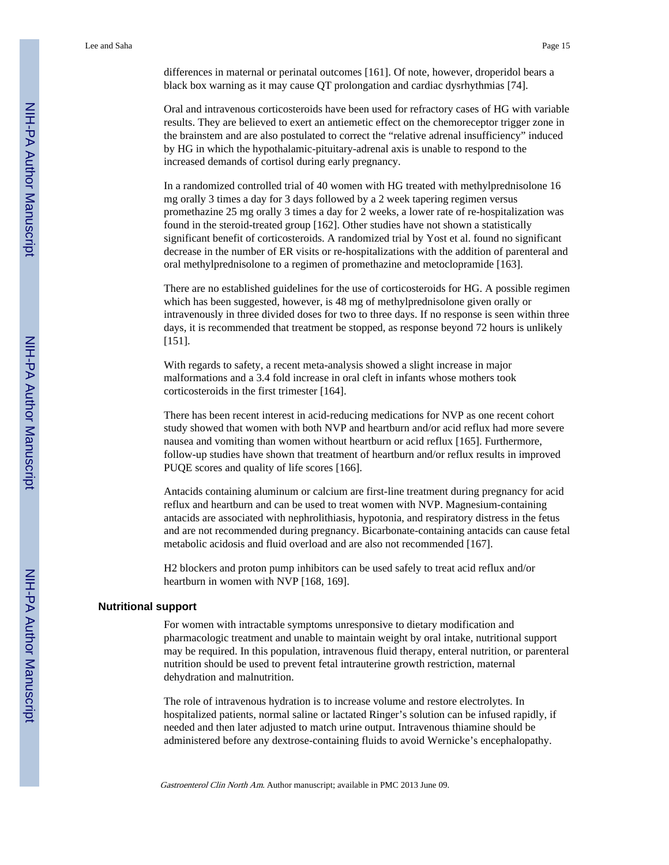differences in maternal or perinatal outcomes [161]. Of note, however, droperidol bears a black box warning as it may cause QT prolongation and cardiac dysrhythmias [74].

Oral and intravenous corticosteroids have been used for refractory cases of HG with variable results. They are believed to exert an antiemetic effect on the chemoreceptor trigger zone in the brainstem and are also postulated to correct the "relative adrenal insufficiency" induced by HG in which the hypothalamic-pituitary-adrenal axis is unable to respond to the increased demands of cortisol during early pregnancy.

In a randomized controlled trial of 40 women with HG treated with methylprednisolone 16 mg orally 3 times a day for 3 days followed by a 2 week tapering regimen versus promethazine 25 mg orally 3 times a day for 2 weeks, a lower rate of re-hospitalization was found in the steroid-treated group [162]. Other studies have not shown a statistically significant benefit of corticosteroids. A randomized trial by Yost et al. found no significant decrease in the number of ER visits or re-hospitalizations with the addition of parenteral and oral methylprednisolone to a regimen of promethazine and metoclopramide [163].

There are no established guidelines for the use of corticosteroids for HG. A possible regimen which has been suggested, however, is 48 mg of methylprednisolone given orally or intravenously in three divided doses for two to three days. If no response is seen within three days, it is recommended that treatment be stopped, as response beyond 72 hours is unlikely [151].

With regards to safety, a recent meta-analysis showed a slight increase in major malformations and a 3.4 fold increase in oral cleft in infants whose mothers took corticosteroids in the first trimester [164].

There has been recent interest in acid-reducing medications for NVP as one recent cohort study showed that women with both NVP and heartburn and/or acid reflux had more severe nausea and vomiting than women without heartburn or acid reflux [165]. Furthermore, follow-up studies have shown that treatment of heartburn and/or reflux results in improved PUQE scores and quality of life scores [166].

Antacids containing aluminum or calcium are first-line treatment during pregnancy for acid reflux and heartburn and can be used to treat women with NVP. Magnesium-containing antacids are associated with nephrolithiasis, hypotonia, and respiratory distress in the fetus and are not recommended during pregnancy. Bicarbonate-containing antacids can cause fetal metabolic acidosis and fluid overload and are also not recommended [167].

H2 blockers and proton pump inhibitors can be used safely to treat acid reflux and/or heartburn in women with NVP [168, 169].

#### **Nutritional support**

For women with intractable symptoms unresponsive to dietary modification and pharmacologic treatment and unable to maintain weight by oral intake, nutritional support may be required. In this population, intravenous fluid therapy, enteral nutrition, or parenteral nutrition should be used to prevent fetal intrauterine growth restriction, maternal dehydration and malnutrition.

The role of intravenous hydration is to increase volume and restore electrolytes. In hospitalized patients, normal saline or lactated Ringer's solution can be infused rapidly, if needed and then later adjusted to match urine output. Intravenous thiamine should be administered before any dextrose-containing fluids to avoid Wernicke's encephalopathy.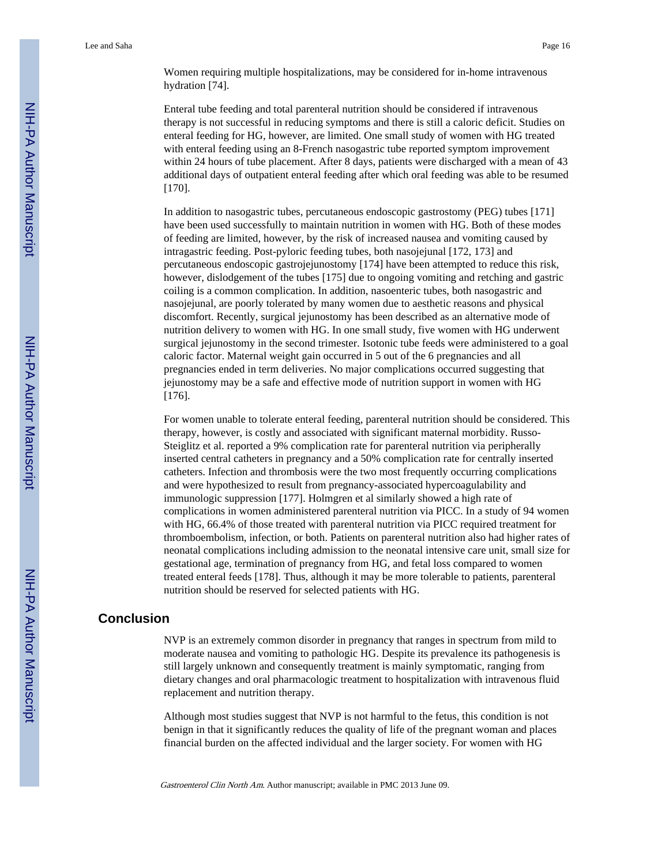Women requiring multiple hospitalizations, may be considered for in-home intravenous hydration [74].

Enteral tube feeding and total parenteral nutrition should be considered if intravenous therapy is not successful in reducing symptoms and there is still a caloric deficit. Studies on enteral feeding for HG, however, are limited. One small study of women with HG treated with enteral feeding using an 8-French nasogastric tube reported symptom improvement within 24 hours of tube placement. After 8 days, patients were discharged with a mean of 43 additional days of outpatient enteral feeding after which oral feeding was able to be resumed [170].

In addition to nasogastric tubes, percutaneous endoscopic gastrostomy (PEG) tubes [171] have been used successfully to maintain nutrition in women with HG. Both of these modes of feeding are limited, however, by the risk of increased nausea and vomiting caused by intragastric feeding. Post-pyloric feeding tubes, both nasojejunal [172, 173] and percutaneous endoscopic gastrojejunostomy [174] have been attempted to reduce this risk, however, dislodgement of the tubes [175] due to ongoing vomiting and retching and gastric coiling is a common complication. In addition, nasoenteric tubes, both nasogastric and nasojejunal, are poorly tolerated by many women due to aesthetic reasons and physical discomfort. Recently, surgical jejunostomy has been described as an alternative mode of nutrition delivery to women with HG. In one small study, five women with HG underwent surgical jejunostomy in the second trimester. Isotonic tube feeds were administered to a goal caloric factor. Maternal weight gain occurred in 5 out of the 6 pregnancies and all pregnancies ended in term deliveries. No major complications occurred suggesting that jejunostomy may be a safe and effective mode of nutrition support in women with HG [176].

For women unable to tolerate enteral feeding, parenteral nutrition should be considered. This therapy, however, is costly and associated with significant maternal morbidity. Russo-Steiglitz et al. reported a 9% complication rate for parenteral nutrition via peripherally inserted central catheters in pregnancy and a 50% complication rate for centrally inserted catheters. Infection and thrombosis were the two most frequently occurring complications and were hypothesized to result from pregnancy-associated hypercoagulability and immunologic suppression [177]. Holmgren et al similarly showed a high rate of complications in women administered parenteral nutrition via PICC. In a study of 94 women with HG, 66.4% of those treated with parenteral nutrition via PICC required treatment for thromboembolism, infection, or both. Patients on parenteral nutrition also had higher rates of neonatal complications including admission to the neonatal intensive care unit, small size for gestational age, termination of pregnancy from HG, and fetal loss compared to women treated enteral feeds [178]. Thus, although it may be more tolerable to patients, parenteral nutrition should be reserved for selected patients with HG.

# **Conclusion**

NVP is an extremely common disorder in pregnancy that ranges in spectrum from mild to moderate nausea and vomiting to pathologic HG. Despite its prevalence its pathogenesis is still largely unknown and consequently treatment is mainly symptomatic, ranging from dietary changes and oral pharmacologic treatment to hospitalization with intravenous fluid replacement and nutrition therapy.

Although most studies suggest that NVP is not harmful to the fetus, this condition is not benign in that it significantly reduces the quality of life of the pregnant woman and places financial burden on the affected individual and the larger society. For women with HG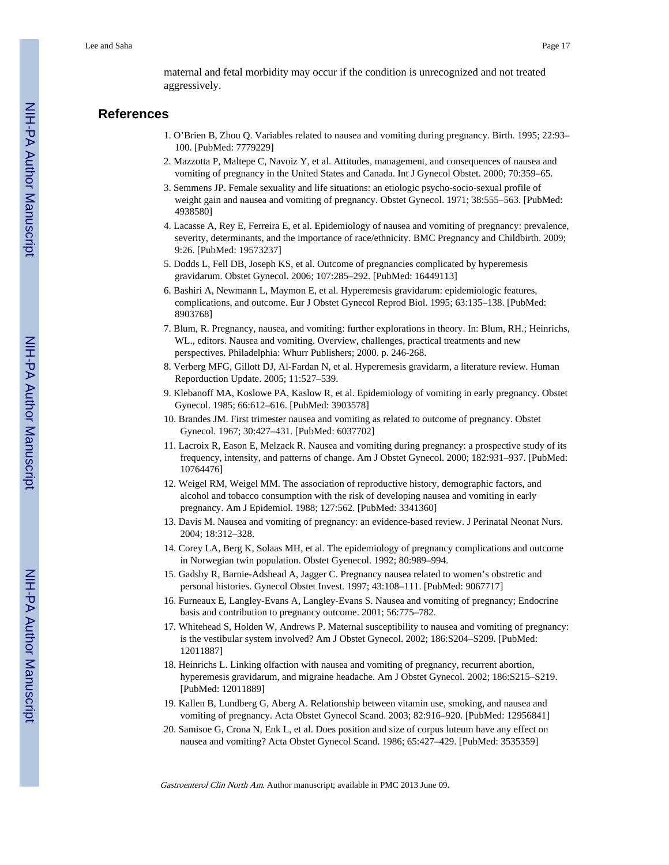maternal and fetal morbidity may occur if the condition is unrecognized and not treated aggressively.

# **References**

- 1. O'Brien B, Zhou Q. Variables related to nausea and vomiting during pregnancy. Birth. 1995; 22:93– 100. [PubMed: 7779229]
- 2. Mazzotta P, Maltepe C, Navoiz Y, et al. Attitudes, management, and consequences of nausea and vomiting of pregnancy in the United States and Canada. Int J Gynecol Obstet. 2000; 70:359–65.
- 3. Semmens JP. Female sexuality and life situations: an etiologic psycho-socio-sexual profile of weight gain and nausea and vomiting of pregnancy. Obstet Gynecol. 1971; 38:555–563. [PubMed: 4938580]
- 4. Lacasse A, Rey E, Ferreira E, et al. Epidemiology of nausea and vomiting of pregnancy: prevalence, severity, determinants, and the importance of race/ethnicity. BMC Pregnancy and Childbirth. 2009; 9:26. [PubMed: 19573237]
- 5. Dodds L, Fell DB, Joseph KS, et al. Outcome of pregnancies complicated by hyperemesis gravidarum. Obstet Gynecol. 2006; 107:285–292. [PubMed: 16449113]
- 6. Bashiri A, Newmann L, Maymon E, et al. Hyperemesis gravidarum: epidemiologic features, complications, and outcome. Eur J Obstet Gynecol Reprod Biol. 1995; 63:135–138. [PubMed: 8903768]
- 7. Blum, R. Pregnancy, nausea, and vomiting: further explorations in theory. In: Blum, RH.; Heinrichs, WL., editors. Nausea and vomiting. Overview, challenges, practical treatments and new perspectives. Philadelphia: Whurr Publishers; 2000. p. 246-268.
- 8. Verberg MFG, Gillott DJ, Al-Fardan N, et al. Hyperemesis gravidarm, a literature review. Human Reporduction Update. 2005; 11:527–539.
- 9. Klebanoff MA, Koslowe PA, Kaslow R, et al. Epidemiology of vomiting in early pregnancy. Obstet Gynecol. 1985; 66:612–616. [PubMed: 3903578]
- 10. Brandes JM. First trimester nausea and vomiting as related to outcome of pregnancy. Obstet Gynecol. 1967; 30:427–431. [PubMed: 6037702]
- 11. Lacroix R, Eason E, Melzack R. Nausea and vomiting during pregnancy: a prospective study of its frequency, intensity, and patterns of change. Am J Obstet Gynecol. 2000; 182:931–937. [PubMed: 10764476]
- 12. Weigel RM, Weigel MM. The association of reproductive history, demographic factors, and alcohol and tobacco consumption with the risk of developing nausea and vomiting in early pregnancy. Am J Epidemiol. 1988; 127:562. [PubMed: 3341360]
- 13. Davis M. Nausea and vomiting of pregnancy: an evidence-based review. J Perinatal Neonat Nurs. 2004; 18:312–328.
- 14. Corey LA, Berg K, Solaas MH, et al. The epidemiology of pregnancy complications and outcome in Norwegian twin population. Obstet Gyenecol. 1992; 80:989–994.
- 15. Gadsby R, Barnie-Adshead A, Jagger C. Pregnancy nausea related to women's obstretic and personal histories. Gynecol Obstet Invest. 1997; 43:108–111. [PubMed: 9067717]
- 16. Furneaux E, Langley-Evans A, Langley-Evans S. Nausea and vomiting of pregnancy; Endocrine basis and contribution to pregnancy outcome. 2001; 56:775–782.
- 17. Whitehead S, Holden W, Andrews P. Maternal susceptibility to nausea and vomiting of pregnancy: is the vestibular system involved? Am J Obstet Gynecol. 2002; 186:S204–S209. [PubMed: 12011887]
- 18. Heinrichs L. Linking olfaction with nausea and vomiting of pregnancy, recurrent abortion, hyperemesis gravidarum, and migraine headache. Am J Obstet Gynecol. 2002; 186:S215–S219. [PubMed: 12011889]
- 19. Kallen B, Lundberg G, Aberg A. Relationship between vitamin use, smoking, and nausea and vomiting of pregnancy. Acta Obstet Gynecol Scand. 2003; 82:916–920. [PubMed: 12956841]
- 20. Samisoe G, Crona N, Enk L, et al. Does position and size of corpus luteum have any effect on nausea and vomiting? Acta Obstet Gynecol Scand. 1986; 65:427–429. [PubMed: 3535359]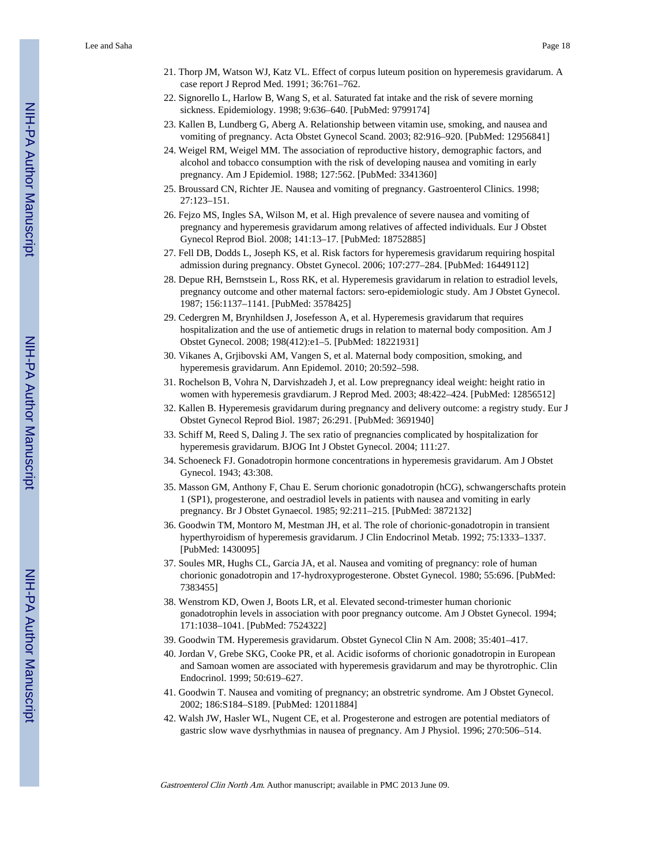- 21. Thorp JM, Watson WJ, Katz VL. Effect of corpus luteum position on hyperemesis gravidarum. A case report J Reprod Med. 1991; 36:761–762.
- 22. Signorello L, Harlow B, Wang S, et al. Saturated fat intake and the risk of severe morning sickness. Epidemiology. 1998; 9:636–640. [PubMed: 9799174]
- 23. Kallen B, Lundberg G, Aberg A. Relationship between vitamin use, smoking, and nausea and vomiting of pregnancy. Acta Obstet Gynecol Scand. 2003; 82:916–920. [PubMed: 12956841]
- 24. Weigel RM, Weigel MM. The association of reproductive history, demographic factors, and alcohol and tobacco consumption with the risk of developing nausea and vomiting in early pregnancy. Am J Epidemiol. 1988; 127:562. [PubMed: 3341360]
- 25. Broussard CN, Richter JE. Nausea and vomiting of pregnancy. Gastroenterol Clinics. 1998; 27:123–151.
- 26. Fejzo MS, Ingles SA, Wilson M, et al. High prevalence of severe nausea and vomiting of pregnancy and hyperemesis gravidarum among relatives of affected individuals. Eur J Obstet Gynecol Reprod Biol. 2008; 141:13–17. [PubMed: 18752885]
- 27. Fell DB, Dodds L, Joseph KS, et al. Risk factors for hyperemesis gravidarum requiring hospital admission during pregnancy. Obstet Gynecol. 2006; 107:277–284. [PubMed: 16449112]
- 28. Depue RH, Bernstsein L, Ross RK, et al. Hyperemesis gravidarum in relation to estradiol levels, pregnancy outcome and other maternal factors: sero-epidemiologic study. Am J Obstet Gynecol. 1987; 156:1137–1141. [PubMed: 3578425]
- 29. Cedergren M, Brynhildsen J, Josefesson A, et al. Hyperemesis gravidarum that requires hospitalization and the use of antiemetic drugs in relation to maternal body composition. Am J Obstet Gynecol. 2008; 198(412):e1–5. [PubMed: 18221931]
- 30. Vikanes A, Grjibovski AM, Vangen S, et al. Maternal body composition, smoking, and hyperemesis gravidarum. Ann Epidemol. 2010; 20:592–598.
- 31. Rochelson B, Vohra N, Darvishzadeh J, et al. Low prepregnancy ideal weight: height ratio in women with hyperemesis gravdiarum. J Reprod Med. 2003; 48:422–424. [PubMed: 12856512]
- 32. Kallen B. Hyperemesis gravidarum during pregnancy and delivery outcome: a registry study. Eur J Obstet Gynecol Reprod Biol. 1987; 26:291. [PubMed: 3691940]
- 33. Schiff M, Reed S, Daling J. The sex ratio of pregnancies complicated by hospitalization for hyperemesis gravidarum. BJOG Int J Obstet Gynecol. 2004; 111:27.
- 34. Schoeneck FJ. Gonadotropin hormone concentrations in hyperemesis gravidarum. Am J Obstet Gynecol. 1943; 43:308.
- 35. Masson GM, Anthony F, Chau E. Serum chorionic gonadotropin (hCG), schwangerschafts protein 1 (SP1), progesterone, and oestradiol levels in patients with nausea and vomiting in early pregnancy. Br J Obstet Gynaecol. 1985; 92:211–215. [PubMed: 3872132]
- 36. Goodwin TM, Montoro M, Mestman JH, et al. The role of chorionic-gonadotropin in transient hyperthyroidism of hyperemesis gravidarum. J Clin Endocrinol Metab. 1992; 75:1333–1337. [PubMed: 1430095]
- 37. Soules MR, Hughs CL, Garcia JA, et al. Nausea and vomiting of pregnancy: role of human chorionic gonadotropin and 17-hydroxyprogesterone. Obstet Gynecol. 1980; 55:696. [PubMed: 7383455]
- 38. Wenstrom KD, Owen J, Boots LR, et al. Elevated second-trimester human chorionic gonadotrophin levels in association with poor pregnancy outcome. Am J Obstet Gynecol. 1994; 171:1038–1041. [PubMed: 7524322]
- 39. Goodwin TM. Hyperemesis gravidarum. Obstet Gynecol Clin N Am. 2008; 35:401–417.
- 40. Jordan V, Grebe SKG, Cooke PR, et al. Acidic isoforms of chorionic gonadotropin in European and Samoan women are associated with hyperemesis gravidarum and may be thyrotrophic. Clin Endocrinol. 1999; 50:619–627.
- 41. Goodwin T. Nausea and vomiting of pregnancy; an obstretric syndrome. Am J Obstet Gynecol. 2002; 186:S184–S189. [PubMed: 12011884]
- 42. Walsh JW, Hasler WL, Nugent CE, et al. Progesterone and estrogen are potential mediators of gastric slow wave dysrhythmias in nausea of pregnancy. Am J Physiol. 1996; 270:506–514.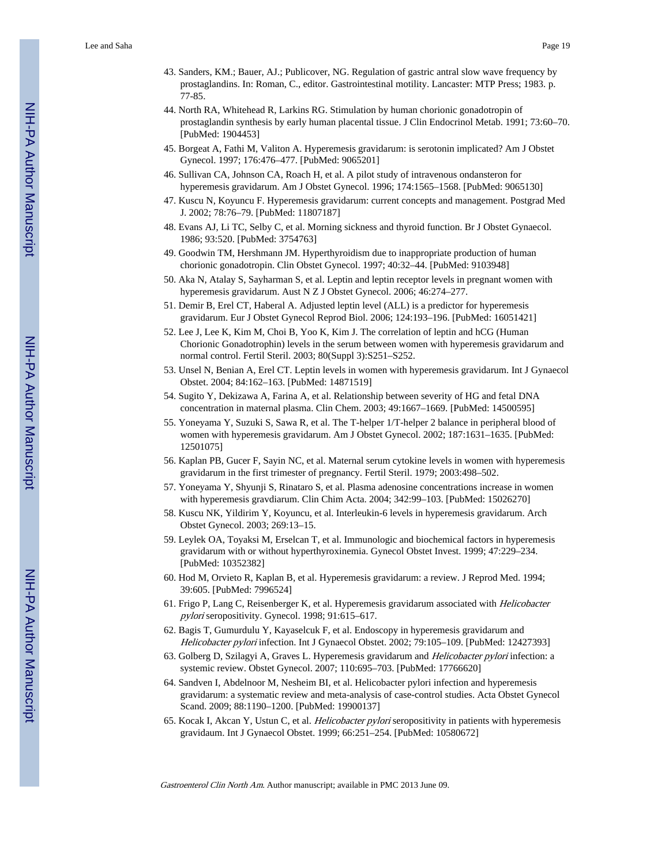- 43. Sanders, KM.; Bauer, AJ.; Publicover, NG. Regulation of gastric antral slow wave frequency by prostaglandins. In: Roman, C., editor. Gastrointestinal motility. Lancaster: MTP Press; 1983. p. 77-85.
- 44. North RA, Whitehead R, Larkins RG. Stimulation by human chorionic gonadotropin of prostaglandin synthesis by early human placental tissue. J Clin Endocrinol Metab. 1991; 73:60–70. [PubMed: 1904453]
- 45. Borgeat A, Fathi M, Valiton A. Hyperemesis gravidarum: is serotonin implicated? Am J Obstet Gynecol. 1997; 176:476–477. [PubMed: 9065201]
- 46. Sullivan CA, Johnson CA, Roach H, et al. A pilot study of intravenous ondansteron for hyperemesis gravidarum. Am J Obstet Gynecol. 1996; 174:1565–1568. [PubMed: 9065130]
- 47. Kuscu N, Koyuncu F. Hyperemesis gravidarum: current concepts and management. Postgrad Med J. 2002; 78:76–79. [PubMed: 11807187]
- 48. Evans AJ, Li TC, Selby C, et al. Morning sickness and thyroid function. Br J Obstet Gynaecol. 1986; 93:520. [PubMed: 3754763]
- 49. Goodwin TM, Hershmann JM. Hyperthyroidism due to inappropriate production of human chorionic gonadotropin. Clin Obstet Gynecol. 1997; 40:32–44. [PubMed: 9103948]
- 50. Aka N, Atalay S, Sayharman S, et al. Leptin and leptin receptor levels in pregnant women with hyperemesis gravidarum. Aust N Z J Obstet Gynecol. 2006; 46:274–277.
- 51. Demir B, Erel CT, Haberal A. Adjusted leptin level (ALL) is a predictor for hyperemesis gravidarum. Eur J Obstet Gynecol Reprod Biol. 2006; 124:193–196. [PubMed: 16051421]
- 52. Lee J, Lee K, Kim M, Choi B, Yoo K, Kim J. The correlation of leptin and hCG (Human Chorionic Gonadotrophin) levels in the serum between women with hyperemesis gravidarum and normal control. Fertil Steril. 2003; 80(Suppl 3):S251–S252.
- 53. Unsel N, Benian A, Erel CT. Leptin levels in women with hyperemesis gravidarum. Int J Gynaecol Obstet. 2004; 84:162–163. [PubMed: 14871519]
- 54. Sugito Y, Dekizawa A, Farina A, et al. Relationship between severity of HG and fetal DNA concentration in maternal plasma. Clin Chem. 2003; 49:1667–1669. [PubMed: 14500595]
- 55. Yoneyama Y, Suzuki S, Sawa R, et al. The T-helper 1/T-helper 2 balance in peripheral blood of women with hyperemesis gravidarum. Am J Obstet Gynecol. 2002; 187:1631–1635. [PubMed: 12501075]
- 56. Kaplan PB, Gucer F, Sayin NC, et al. Maternal serum cytokine levels in women with hyperemesis gravidarum in the first trimester of pregnancy. Fertil Steril. 1979; 2003:498–502.
- 57. Yoneyama Y, Shyunji S, Rinataro S, et al. Plasma adenosine concentrations increase in women with hyperemesis gravdiarum. Clin Chim Acta. 2004; 342:99–103. [PubMed: 15026270]
- 58. Kuscu NK, Yildirim Y, Koyuncu, et al. Interleukin-6 levels in hyperemesis gravidarum. Arch Obstet Gynecol. 2003; 269:13–15.
- 59. Leylek OA, Toyaksi M, Erselcan T, et al. Immunologic and biochemical factors in hyperemesis gravidarum with or without hyperthyroxinemia. Gynecol Obstet Invest. 1999; 47:229–234. [PubMed: 10352382]
- 60. Hod M, Orvieto R, Kaplan B, et al. Hyperemesis gravidarum: a review. J Reprod Med. 1994; 39:605. [PubMed: 7996524]
- 61. Frigo P, Lang C, Reisenberger K, et al. Hyperemesis gravidarum associated with Helicobacter pylori seropositivity. Gynecol. 1998; 91:615–617.
- 62. Bagis T, Gumurdulu Y, Kayaselcuk F, et al. Endoscopy in hyperemesis gravidarum and Helicobacter pylori infection. Int J Gynaecol Obstet. 2002; 79:105–109. [PubMed: 12427393]
- 63. Golberg D, Szilagyi A, Graves L. Hyperemesis gravidarum and Helicobacter pylori infection: a systemic review. Obstet Gynecol. 2007; 110:695–703. [PubMed: 17766620]
- 64. Sandven I, Abdelnoor M, Nesheim BI, et al. Helicobacter pylori infection and hyperemesis gravidarum: a systematic review and meta-analysis of case-control studies. Acta Obstet Gynecol Scand. 2009; 88:1190–1200. [PubMed: 19900137]
- 65. Kocak I, Akcan Y, Ustun C, et al. *Helicobacter pylori* seropositivity in patients with hyperemesis gravidaum. Int J Gynaecol Obstet. 1999; 66:251–254. [PubMed: 10580672]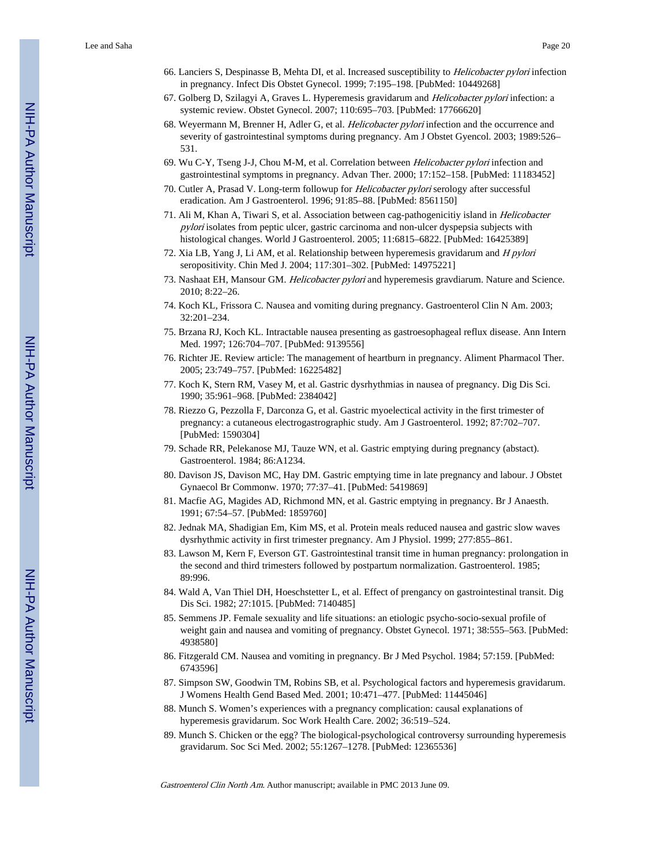- 66. Lanciers S, Despinasse B, Mehta DI, et al. Increased susceptibility to Helicobacter pylori infection in pregnancy. Infect Dis Obstet Gynecol. 1999; 7:195–198. [PubMed: 10449268]
- 67. Golberg D, Szilagyi A, Graves L. Hyperemesis gravidarum and Helicobacter pylori infection: a systemic review. Obstet Gynecol. 2007; 110:695–703. [PubMed: 17766620]
- 68. Weyermann M, Brenner H, Adler G, et al. Helicobacter pylori infection and the occurrence and severity of gastrointestinal symptoms during pregnancy. Am J Obstet Gyencol. 2003; 1989:526– 531.
- 69. Wu C-Y, Tseng J-J, Chou M-M, et al. Correlation between *Helicobacter pylori* infection and gastrointestinal symptoms in pregnancy. Advan Ther. 2000; 17:152–158. [PubMed: 11183452]
- 70. Cutler A, Prasad V. Long-term followup for Helicobacter pylori serology after successful eradication. Am J Gastroenterol. 1996; 91:85–88. [PubMed: 8561150]
- 71. Ali M, Khan A, Tiwari S, et al. Association between cag-pathogenicitiy island in Helicobacter pylori isolates from peptic ulcer, gastric carcinoma and non-ulcer dyspepsia subjects with histological changes. World J Gastroenterol. 2005; 11:6815–6822. [PubMed: 16425389]
- 72. Xia LB, Yang J, Li AM, et al. Relationship between hyperemesis gravidarum and H pylori seropositivity. Chin Med J. 2004; 117:301–302. [PubMed: 14975221]
- 73. Nashaat EH, Mansour GM. Helicobacter pylori and hyperemesis gravdiarum. Nature and Science. 2010; 8:22–26.
- 74. Koch KL, Frissora C. Nausea and vomiting during pregnancy. Gastroenterol Clin N Am. 2003; 32:201–234.
- 75. Brzana RJ, Koch KL. Intractable nausea presenting as gastroesophageal reflux disease. Ann Intern Med. 1997; 126:704–707. [PubMed: 9139556]
- 76. Richter JE. Review article: The management of heartburn in pregnancy. Aliment Pharmacol Ther. 2005; 23:749–757. [PubMed: 16225482]
- 77. Koch K, Stern RM, Vasey M, et al. Gastric dysrhythmias in nausea of pregnancy. Dig Dis Sci. 1990; 35:961–968. [PubMed: 2384042]
- 78. Riezzo G, Pezzolla F, Darconza G, et al. Gastric myoelectical activity in the first trimester of pregnancy: a cutaneous electrogastrographic study. Am J Gastroenterol. 1992; 87:702–707. [PubMed: 1590304]
- 79. Schade RR, Pelekanose MJ, Tauze WN, et al. Gastric emptying during pregnancy (abstact). Gastroenterol. 1984; 86:A1234.
- 80. Davison JS, Davison MC, Hay DM. Gastric emptying time in late pregnancy and labour. J Obstet Gynaecol Br Commonw. 1970; 77:37–41. [PubMed: 5419869]
- 81. Macfie AG, Magides AD, Richmond MN, et al. Gastric emptying in pregnancy. Br J Anaesth. 1991; 67:54–57. [PubMed: 1859760]
- 82. Jednak MA, Shadigian Em, Kim MS, et al. Protein meals reduced nausea and gastric slow waves dysrhythmic activity in first trimester pregnancy. Am J Physiol. 1999; 277:855–861.
- 83. Lawson M, Kern F, Everson GT. Gastrointestinal transit time in human pregnancy: prolongation in the second and third trimesters followed by postpartum normalization. Gastroenterol. 1985; 89:996.
- 84. Wald A, Van Thiel DH, Hoeschstetter L, et al. Effect of prengancy on gastrointestinal transit. Dig Dis Sci. 1982; 27:1015. [PubMed: 7140485]
- 85. Semmens JP. Female sexuality and life situations: an etiologic psycho-socio-sexual profile of weight gain and nausea and vomiting of pregnancy. Obstet Gynecol. 1971; 38:555–563. [PubMed: 4938580]
- 86. Fitzgerald CM. Nausea and vomiting in pregnancy. Br J Med Psychol. 1984; 57:159. [PubMed: 6743596]
- 87. Simpson SW, Goodwin TM, Robins SB, et al. Psychological factors and hyperemesis gravidarum. J Womens Health Gend Based Med. 2001; 10:471–477. [PubMed: 11445046]
- 88. Munch S. Women's experiences with a pregnancy complication: causal explanations of hyperemesis gravidarum. Soc Work Health Care. 2002; 36:519–524.
- 89. Munch S. Chicken or the egg? The biological-psychological controversy surrounding hyperemesis gravidarum. Soc Sci Med. 2002; 55:1267–1278. [PubMed: 12365536]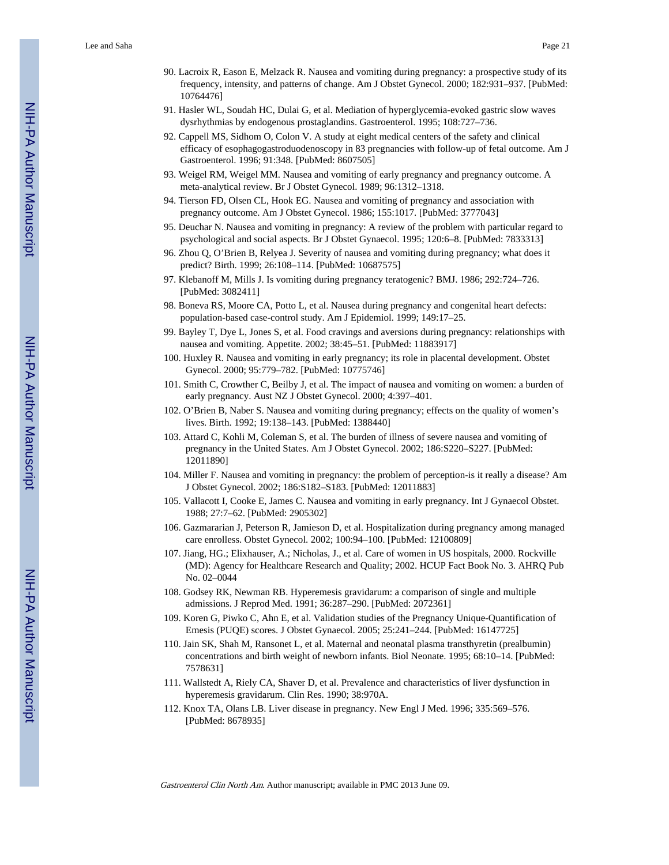- 90. Lacroix R, Eason E, Melzack R. Nausea and vomiting during pregnancy: a prospective study of its frequency, intensity, and patterns of change. Am J Obstet Gynecol. 2000; 182:931–937. [PubMed: 10764476]
- 91. Hasler WL, Soudah HC, Dulai G, et al. Mediation of hyperglycemia-evoked gastric slow waves dysrhythmias by endogenous prostaglandins. Gastroenterol. 1995; 108:727–736.
- 92. Cappell MS, Sidhom O, Colon V. A study at eight medical centers of the safety and clinical efficacy of esophagogastroduodenoscopy in 83 pregnancies with follow-up of fetal outcome. Am J Gastroenterol. 1996; 91:348. [PubMed: 8607505]
- 93. Weigel RM, Weigel MM. Nausea and vomiting of early pregnancy and pregnancy outcome. A meta-analytical review. Br J Obstet Gynecol. 1989; 96:1312–1318.
- 94. Tierson FD, Olsen CL, Hook EG. Nausea and vomiting of pregnancy and association with pregnancy outcome. Am J Obstet Gynecol. 1986; 155:1017. [PubMed: 3777043]
- 95. Deuchar N. Nausea and vomiting in pregnancy: A review of the problem with particular regard to psychological and social aspects. Br J Obstet Gynaecol. 1995; 120:6–8. [PubMed: 7833313]
- 96. Zhou Q, O'Brien B, Relyea J. Severity of nausea and vomiting during pregnancy; what does it predict? Birth. 1999; 26:108–114. [PubMed: 10687575]
- 97. Klebanoff M, Mills J. Is vomiting during pregnancy teratogenic? BMJ. 1986; 292:724–726. [PubMed: 3082411]
- 98. Boneva RS, Moore CA, Potto L, et al. Nausea during pregnancy and congenital heart defects: population-based case-control study. Am J Epidemiol. 1999; 149:17–25.
- 99. Bayley T, Dye L, Jones S, et al. Food cravings and aversions during pregnancy: relationships with nausea and vomiting. Appetite. 2002; 38:45–51. [PubMed: 11883917]
- 100. Huxley R. Nausea and vomiting in early pregnancy; its role in placental development. Obstet Gynecol. 2000; 95:779–782. [PubMed: 10775746]
- 101. Smith C, Crowther C, Beilby J, et al. The impact of nausea and vomiting on women: a burden of early pregnancy. Aust NZ J Obstet Gynecol. 2000; 4:397–401.
- 102. O'Brien B, Naber S. Nausea and vomiting during pregnancy; effects on the quality of women's lives. Birth. 1992; 19:138–143. [PubMed: 1388440]
- 103. Attard C, Kohli M, Coleman S, et al. The burden of illness of severe nausea and vomiting of pregnancy in the United States. Am J Obstet Gynecol. 2002; 186:S220–S227. [PubMed: 12011890]
- 104. Miller F. Nausea and vomiting in pregnancy: the problem of perception-is it really a disease? Am J Obstet Gynecol. 2002; 186:S182–S183. [PubMed: 12011883]
- 105. Vallacott I, Cooke E, James C. Nausea and vomiting in early pregnancy. Int J Gynaecol Obstet. 1988; 27:7–62. [PubMed: 2905302]
- 106. Gazmararian J, Peterson R, Jamieson D, et al. Hospitalization during pregnancy among managed care enrolless. Obstet Gynecol. 2002; 100:94–100. [PubMed: 12100809]
- 107. Jiang, HG.; Elixhauser, A.; Nicholas, J., et al. Care of women in US hospitals, 2000. Rockville (MD): Agency for Healthcare Research and Quality; 2002. HCUP Fact Book No. 3. AHRQ Pub No. 02–0044
- 108. Godsey RK, Newman RB. Hyperemesis gravidarum: a comparison of single and multiple admissions. J Reprod Med. 1991; 36:287–290. [PubMed: 2072361]
- 109. Koren G, Piwko C, Ahn E, et al. Validation studies of the Pregnancy Unique-Quantification of Emesis (PUQE) scores. J Obstet Gynaecol. 2005; 25:241–244. [PubMed: 16147725]
- 110. Jain SK, Shah M, Ransonet L, et al. Maternal and neonatal plasma transthyretin (prealbumin) concentrations and birth weight of newborn infants. Biol Neonate. 1995; 68:10–14. [PubMed: 7578631]
- 111. Wallstedt A, Riely CA, Shaver D, et al. Prevalence and characteristics of liver dysfunction in hyperemesis gravidarum. Clin Res. 1990; 38:970A.
- 112. Knox TA, Olans LB. Liver disease in pregnancy. New Engl J Med. 1996; 335:569–576. [PubMed: 8678935]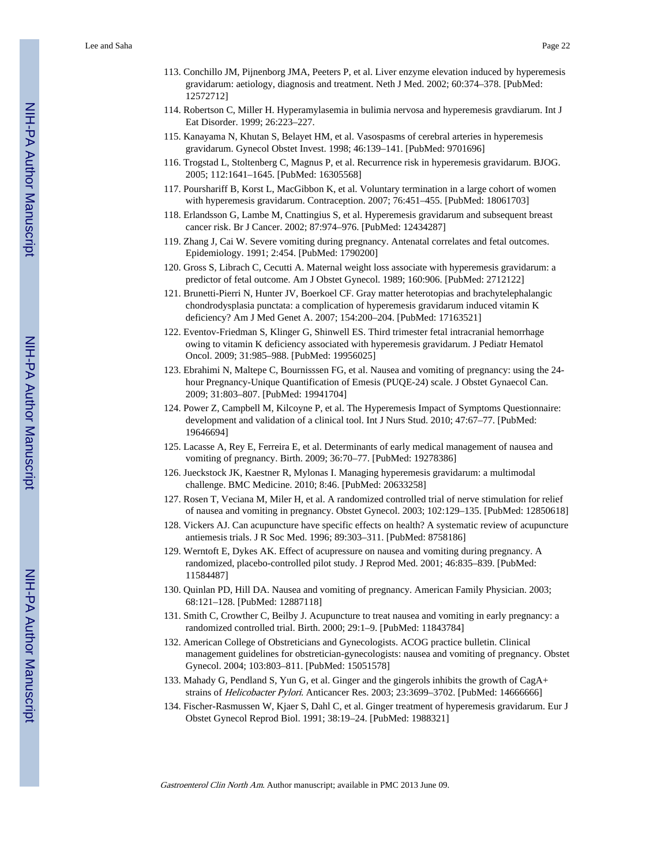- 113. Conchillo JM, Pijnenborg JMA, Peeters P, et al. Liver enzyme elevation induced by hyperemesis gravidarum: aetiology, diagnosis and treatment. Neth J Med. 2002; 60:374–378. [PubMed: 12572712]
- 114. Robertson C, Miller H. Hyperamylasemia in bulimia nervosa and hyperemesis gravdiarum. Int J Eat Disorder. 1999; 26:223–227.
- 115. Kanayama N, Khutan S, Belayet HM, et al. Vasospasms of cerebral arteries in hyperemesis gravidarum. Gynecol Obstet Invest. 1998; 46:139–141. [PubMed: 9701696]
- 116. Trogstad L, Stoltenberg C, Magnus P, et al. Recurrence risk in hyperemesis gravidarum. BJOG. 2005; 112:1641–1645. [PubMed: 16305568]
- 117. Pourshariff B, Korst L, MacGibbon K, et al. Voluntary termination in a large cohort of women with hyperemesis gravidarum. Contraception. 2007; 76:451–455. [PubMed: 18061703]
- 118. Erlandsson G, Lambe M, Cnattingius S, et al. Hyperemesis gravidarum and subsequent breast cancer risk. Br J Cancer. 2002; 87:974–976. [PubMed: 12434287]
- 119. Zhang J, Cai W. Severe vomiting during pregnancy. Antenatal correlates and fetal outcomes. Epidemiology. 1991; 2:454. [PubMed: 1790200]
- 120. Gross S, Librach C, Cecutti A. Maternal weight loss associate with hyperemesis gravidarum: a predictor of fetal outcome. Am J Obstet Gynecol. 1989; 160:906. [PubMed: 2712122]
- 121. Brunetti-Pierri N, Hunter JV, Boerkoel CF. Gray matter heterotopias and brachytelephalangic chondrodysplasia punctata: a complication of hyperemesis gravidarum induced vitamin K deficiency? Am J Med Genet A. 2007; 154:200–204. [PubMed: 17163521]
- 122. Eventov-Friedman S, Klinger G, Shinwell ES. Third trimester fetal intracranial hemorrhage owing to vitamin K deficiency associated with hyperemesis gravidarum. J Pediatr Hematol Oncol. 2009; 31:985–988. [PubMed: 19956025]
- 123. Ebrahimi N, Maltepe C, Bournisssen FG, et al. Nausea and vomiting of pregnancy: using the 24 hour Pregnancy-Unique Quantification of Emesis (PUQE-24) scale. J Obstet Gynaecol Can. 2009; 31:803–807. [PubMed: 19941704]
- 124. Power Z, Campbell M, Kilcoyne P, et al. The Hyperemesis Impact of Symptoms Questionnaire: development and validation of a clinical tool. Int J Nurs Stud. 2010; 47:67–77. [PubMed: 19646694]
- 125. Lacasse A, Rey E, Ferreira E, et al. Determinants of early medical management of nausea and vomiting of pregnancy. Birth. 2009; 36:70–77. [PubMed: 19278386]
- 126. Jueckstock JK, Kaestner R, Mylonas I. Managing hyperemesis gravidarum: a multimodal challenge. BMC Medicine. 2010; 8:46. [PubMed: 20633258]
- 127. Rosen T, Veciana M, Miler H, et al. A randomized controlled trial of nerve stimulation for relief of nausea and vomiting in pregnancy. Obstet Gynecol. 2003; 102:129–135. [PubMed: 12850618]
- 128. Vickers AJ. Can acupuncture have specific effects on health? A systematic review of acupuncture antiemesis trials. J R Soc Med. 1996; 89:303–311. [PubMed: 8758186]
- 129. Werntoft E, Dykes AK. Effect of acupressure on nausea and vomiting during pregnancy. A randomized, placebo-controlled pilot study. J Reprod Med. 2001; 46:835–839. [PubMed: 11584487]
- 130. Quinlan PD, Hill DA. Nausea and vomiting of pregnancy. American Family Physician. 2003; 68:121–128. [PubMed: 12887118]
- 131. Smith C, Crowther C, Beilby J. Acupuncture to treat nausea and vomiting in early pregnancy: a randomized controlled trial. Birth. 2000; 29:1–9. [PubMed: 11843784]
- 132. American College of Obstreticians and Gynecologists. ACOG practice bulletin. Clinical management guidelines for obstretician-gynecologists: nausea and vomiting of pregnancy. Obstet Gynecol. 2004; 103:803–811. [PubMed: 15051578]
- 133. Mahady G, Pendland S, Yun G, et al. Ginger and the gingerols inhibits the growth of CagA+ strains of Helicobacter Pylori. Anticancer Res. 2003; 23:3699–3702. [PubMed: 14666666]
- 134. Fischer-Rasmussen W, Kjaer S, Dahl C, et al. Ginger treatment of hyperemesis gravidarum. Eur J Obstet Gynecol Reprod Biol. 1991; 38:19–24. [PubMed: 1988321]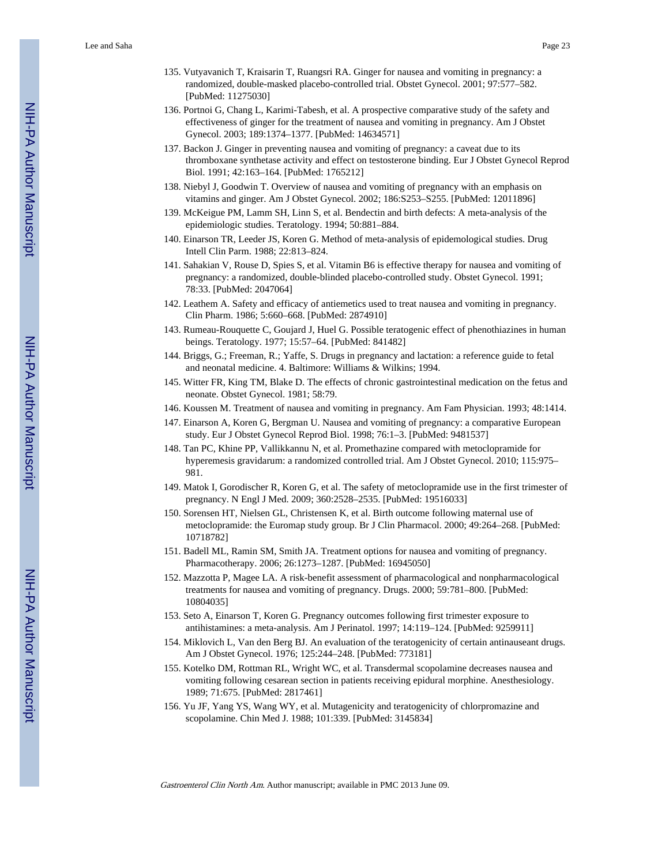- 135. Vutyavanich T, Kraisarin T, Ruangsri RA. Ginger for nausea and vomiting in pregnancy: a randomized, double-masked placebo-controlled trial. Obstet Gynecol. 2001; 97:577–582. [PubMed: 11275030]
- 136. Portnoi G, Chang L, Karimi-Tabesh, et al. A prospective comparative study of the safety and effectiveness of ginger for the treatment of nausea and vomiting in pregnancy. Am J Obstet Gynecol. 2003; 189:1374–1377. [PubMed: 14634571]
- 137. Backon J. Ginger in preventing nausea and vomiting of pregnancy: a caveat due to its thromboxane synthetase activity and effect on testosterone binding. Eur J Obstet Gynecol Reprod Biol. 1991; 42:163–164. [PubMed: 1765212]
- 138. Niebyl J, Goodwin T. Overview of nausea and vomiting of pregnancy with an emphasis on vitamins and ginger. Am J Obstet Gynecol. 2002; 186:S253–S255. [PubMed: 12011896]
- 139. McKeigue PM, Lamm SH, Linn S, et al. Bendectin and birth defects: A meta-analysis of the epidemiologic studies. Teratology. 1994; 50:881–884.
- 140. Einarson TR, Leeder JS, Koren G. Method of meta-analysis of epidemological studies. Drug Intell Clin Parm. 1988; 22:813–824.
- 141. Sahakian V, Rouse D, Spies S, et al. Vitamin B6 is effective therapy for nausea and vomiting of pregnancy: a randomized, double-blinded placebo-controlled study. Obstet Gynecol. 1991; 78:33. [PubMed: 2047064]
- 142. Leathem A. Safety and efficacy of antiemetics used to treat nausea and vomiting in pregnancy. Clin Pharm. 1986; 5:660–668. [PubMed: 2874910]
- 143. Rumeau-Rouquette C, Goujard J, Huel G. Possible teratogenic effect of phenothiazines in human beings. Teratology. 1977; 15:57–64. [PubMed: 841482]
- 144. Briggs, G.; Freeman, R.; Yaffe, S. Drugs in pregnancy and lactation: a reference guide to fetal and neonatal medicine. 4. Baltimore: Williams & Wilkins; 1994.
- 145. Witter FR, King TM, Blake D. The effects of chronic gastrointestinal medication on the fetus and neonate. Obstet Gynecol. 1981; 58:79.
- 146. Koussen M. Treatment of nausea and vomiting in pregnancy. Am Fam Physician. 1993; 48:1414.
- 147. Einarson A, Koren G, Bergman U. Nausea and vomiting of pregnancy: a comparative European study. Eur J Obstet Gynecol Reprod Biol. 1998; 76:1–3. [PubMed: 9481537]
- 148. Tan PC, Khine PP, Vallikkannu N, et al. Promethazine compared with metoclopramide for hyperemesis gravidarum: a randomized controlled trial. Am J Obstet Gynecol. 2010; 115:975– 981.
- 149. Matok I, Gorodischer R, Koren G, et al. The safety of metoclopramide use in the first trimester of pregnancy. N Engl J Med. 2009; 360:2528–2535. [PubMed: 19516033]
- 150. Sorensen HT, Nielsen GL, Christensen K, et al. Birth outcome following maternal use of metoclopramide: the Euromap study group. Br J Clin Pharmacol. 2000; 49:264–268. [PubMed: 10718782]
- 151. Badell ML, Ramin SM, Smith JA. Treatment options for nausea and vomiting of pregnancy. Pharmacotherapy. 2006; 26:1273–1287. [PubMed: 16945050]
- 152. Mazzotta P, Magee LA. A risk-benefit assessment of pharmacological and nonpharmacological treatments for nausea and vomiting of pregnancy. Drugs. 2000; 59:781–800. [PubMed: 10804035]
- 153. Seto A, Einarson T, Koren G. Pregnancy outcomes following first trimester exposure to antihistamines: a meta-analysis. Am J Perinatol. 1997; 14:119–124. [PubMed: 9259911]
- 154. Miklovich L, Van den Berg BJ. An evaluation of the teratogenicity of certain antinauseant drugs. Am J Obstet Gynecol. 1976; 125:244–248. [PubMed: 773181]
- 155. Kotelko DM, Rottman RL, Wright WC, et al. Transdermal scopolamine decreases nausea and vomiting following cesarean section in patients receiving epidural morphine. Anesthesiology. 1989; 71:675. [PubMed: 2817461]
- 156. Yu JF, Yang YS, Wang WY, et al. Mutagenicity and teratogenicity of chlorpromazine and scopolamine. Chin Med J. 1988; 101:339. [PubMed: 3145834]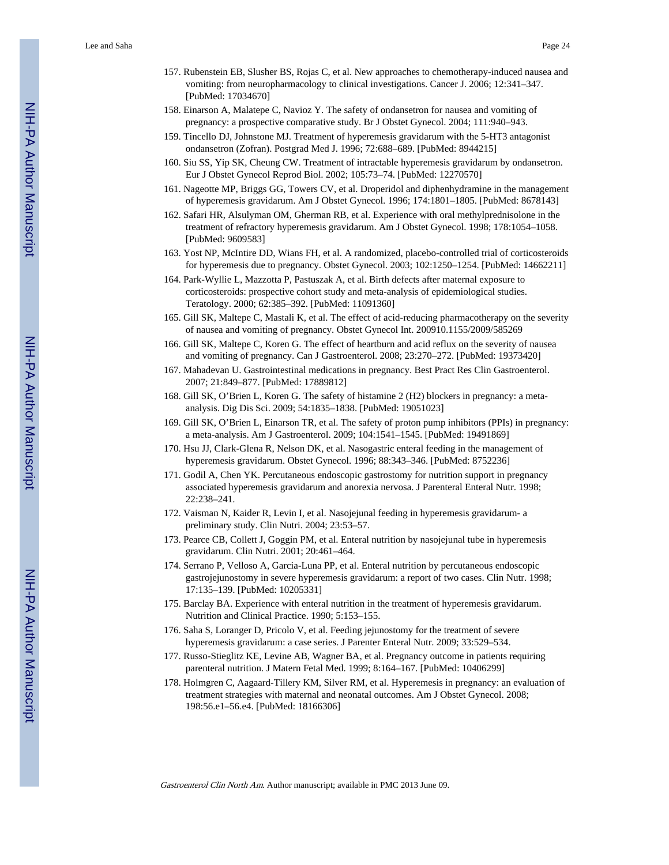- 157. Rubenstein EB, Slusher BS, Rojas C, et al. New approaches to chemotherapy-induced nausea and vomiting: from neuropharmacology to clinical investigations. Cancer J. 2006; 12:341–347. [PubMed: 17034670]
- 158. Einarson A, Malatepe C, Navioz Y. The safety of ondansetron for nausea and vomiting of pregnancy: a prospective comparative study. Br J Obstet Gynecol. 2004; 111:940–943.
- 159. Tincello DJ, Johnstone MJ. Treatment of hyperemesis gravidarum with the 5-HT3 antagonist ondansetron (Zofran). Postgrad Med J. 1996; 72:688–689. [PubMed: 8944215]
- 160. Siu SS, Yip SK, Cheung CW. Treatment of intractable hyperemesis gravidarum by ondansetron. Eur J Obstet Gynecol Reprod Biol. 2002; 105:73–74. [PubMed: 12270570]
- 161. Nageotte MP, Briggs GG, Towers CV, et al. Droperidol and diphenhydramine in the management of hyperemesis gravidarum. Am J Obstet Gynecol. 1996; 174:1801–1805. [PubMed: 8678143]
- 162. Safari HR, Alsulyman OM, Gherman RB, et al. Experience with oral methylprednisolone in the treatment of refractory hyperemesis gravidarum. Am J Obstet Gynecol. 1998; 178:1054–1058. [PubMed: 9609583]
- 163. Yost NP, McIntire DD, Wians FH, et al. A randomized, placebo-controlled trial of corticosteroids for hyperemesis due to pregnancy. Obstet Gynecol. 2003; 102:1250–1254. [PubMed: 14662211]
- 164. Park-Wyllie L, Mazzotta P, Pastuszak A, et al. Birth defects after maternal exposure to corticosteroids: prospective cohort study and meta-analysis of epidemiological studies. Teratology. 2000; 62:385–392. [PubMed: 11091360]
- 165. Gill SK, Maltepe C, Mastali K, et al. The effect of acid-reducing pharmacotherapy on the severity of nausea and vomiting of pregnancy. Obstet Gynecol Int. 200910.1155/2009/585269
- 166. Gill SK, Maltepe C, Koren G. The effect of heartburn and acid reflux on the severity of nausea and vomiting of pregnancy. Can J Gastroenterol. 2008; 23:270–272. [PubMed: 19373420]
- 167. Mahadevan U. Gastrointestinal medications in pregnancy. Best Pract Res Clin Gastroenterol. 2007; 21:849–877. [PubMed: 17889812]
- 168. Gill SK, O'Brien L, Koren G. The safety of histamine 2 (H2) blockers in pregnancy: a metaanalysis. Dig Dis Sci. 2009; 54:1835–1838. [PubMed: 19051023]
- 169. Gill SK, O'Brien L, Einarson TR, et al. The safety of proton pump inhibitors (PPIs) in pregnancy: a meta-analysis. Am J Gastroenterol. 2009; 104:1541–1545. [PubMed: 19491869]
- 170. Hsu JJ, Clark-Glena R, Nelson DK, et al. Nasogastric enteral feeding in the management of hyperemesis gravidarum. Obstet Gynecol. 1996; 88:343–346. [PubMed: 8752236]
- 171. Godil A, Chen YK. Percutaneous endoscopic gastrostomy for nutrition support in pregnancy associated hyperemesis gravidarum and anorexia nervosa. J Parenteral Enteral Nutr. 1998; 22:238–241.
- 172. Vaisman N, Kaider R, Levin I, et al. Nasojejunal feeding in hyperemesis gravidarum- a preliminary study. Clin Nutri. 2004; 23:53–57.
- 173. Pearce CB, Collett J, Goggin PM, et al. Enteral nutrition by nasojejunal tube in hyperemesis gravidarum. Clin Nutri. 2001; 20:461–464.
- 174. Serrano P, Velloso A, Garcia-Luna PP, et al. Enteral nutrition by percutaneous endoscopic gastrojejunostomy in severe hyperemesis gravidarum: a report of two cases. Clin Nutr. 1998; 17:135–139. [PubMed: 10205331]
- 175. Barclay BA. Experience with enteral nutrition in the treatment of hyperemesis gravidarum. Nutrition and Clinical Practice. 1990; 5:153–155.
- 176. Saha S, Loranger D, Pricolo V, et al. Feeding jejunostomy for the treatment of severe hyperemesis gravidarum: a case series. J Parenter Enteral Nutr. 2009; 33:529–534.
- 177. Russo-Stieglitz KE, Levine AB, Wagner BA, et al. Pregnancy outcome in patients requiring parenteral nutrition. J Matern Fetal Med. 1999; 8:164–167. [PubMed: 10406299]
- 178. Holmgren C, Aagaard-Tillery KM, Silver RM, et al. Hyperemesis in pregnancy: an evaluation of treatment strategies with maternal and neonatal outcomes. Am J Obstet Gynecol. 2008; 198:56.e1–56.e4. [PubMed: 18166306]

NIH-PA Author Manuscript

NH-PA Actros Manuscript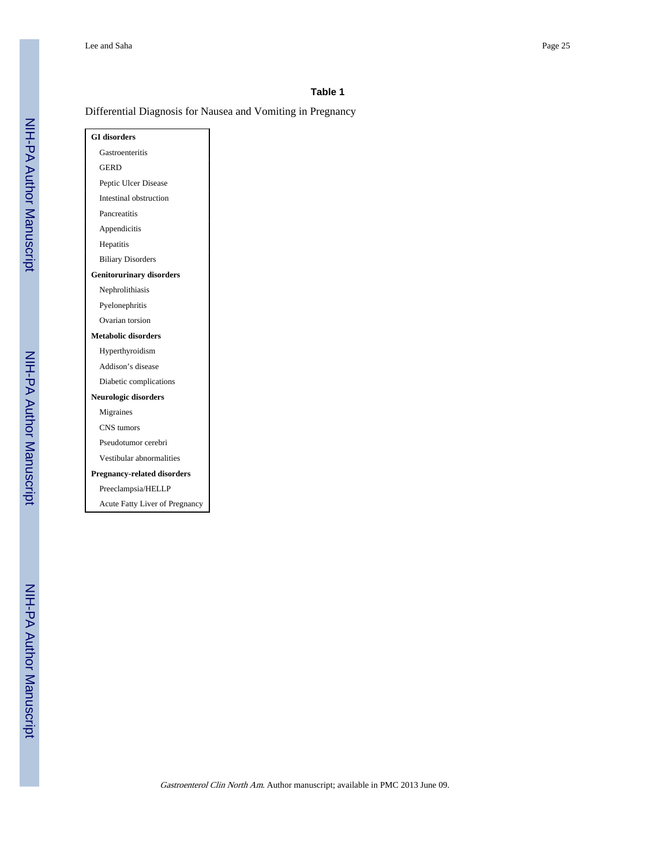#### **Table 1**

# Differential Diagnosis for Nausea and Vomiting in Pregnancy

| <b>GI</b> disorders                   |
|---------------------------------------|
| Gastroenteritis                       |
| GERD                                  |
| Peptic Ulcer Disease                  |
| Intestinal obstruction                |
| Pancreatitis                          |
| Appendicitis                          |
| Hepatitis                             |
| <b>Biliary Disorders</b>              |
| <b>Genitorurinary disorders</b>       |
| Nephrolithiasis                       |
| Pyelonephritis                        |
| Ovarian torsion                       |
| <b>Metabolic disorders</b>            |
| Hyperthyroidism                       |
| Addison's disease                     |
| Diabetic complications                |
| Neurologic disorders                  |
| Migraines                             |
| CNS tumors                            |
| Pseudotumor cerebri                   |
| Vestibular abnormalities              |
| <b>Pregnancy-related disorders</b>    |
| Preeclampsia/HELLP                    |
| <b>Acute Fatty Liver of Pregnancy</b> |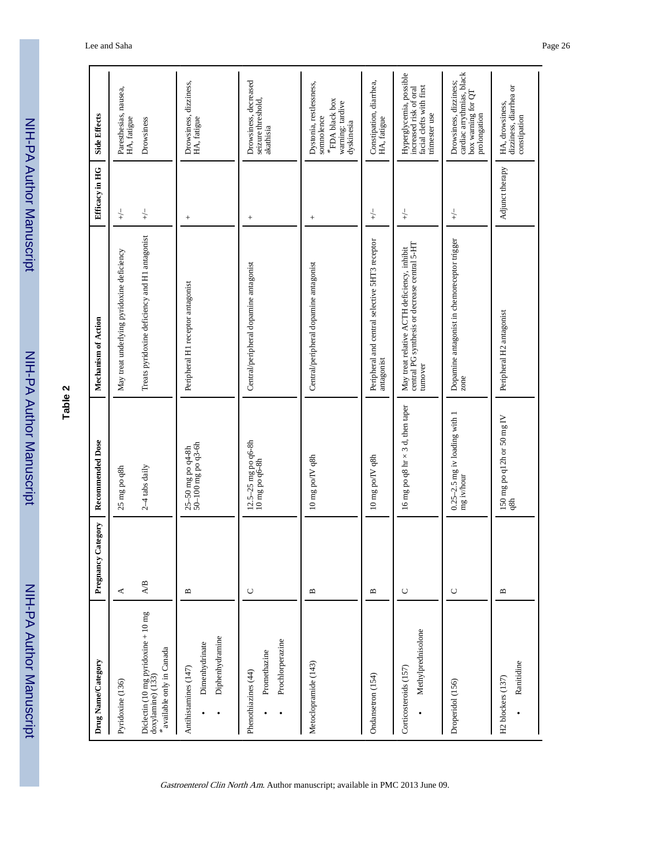| י<br>?<br>י        |  |
|--------------------|--|
|                    |  |
|                    |  |
|                    |  |
|                    |  |
|                    |  |
|                    |  |
|                    |  |
| ī                  |  |
|                    |  |
|                    |  |
|                    |  |
|                    |  |
|                    |  |
|                    |  |
| <b>.<br/>קרובי</b> |  |
| ī                  |  |
|                    |  |
|                    |  |
|                    |  |

| ч<br>¢ |  |
|--------|--|
| Φ      |  |
|        |  |
| t<br>c |  |
|        |  |

| Drug Name/Category                                                                                                                      | Pregnancy Category      | <b>Recommended Dose</b>                         | Mechanism of Action                                                                                      | Efficacy in HG  | <b>Side Effects</b>                                                                              |
|-----------------------------------------------------------------------------------------------------------------------------------------|-------------------------|-------------------------------------------------|----------------------------------------------------------------------------------------------------------|-----------------|--------------------------------------------------------------------------------------------------|
| Pyridoxine (136)                                                                                                                        | ≺                       | 25 mg po q8h                                    | May treat underlying pyridoxine deficiency                                                               | $\downarrow$    | Paresthesias, nausea,<br>HA, fatigue                                                             |
| Diclectin (10 mg pyridoxine + 10 mg<br>doxylamine) (133)<br>$\displaystyle{ \raisebox{0.6ex}{\scriptsize{*}}}$ available only in Canada | $\mathbb{A}/\mathbb{B}$ | $2-4$ tabs daily                                | Treats pyridoxine deficiency and H1 antagonist                                                           | $\downarrow$    | Drowsiness                                                                                       |
| Diphenhydramine<br>Dimenhydrinate<br>Antihistamines (147)                                                                               | $\mathbf{a}$            | $25-50$ mg po q4-8h<br>50–100 mg po q3-6h       | Peripheral H1 receptor antagonist                                                                        | $^{+}$          | Drowsiness, dizziness,<br>HA, fatigue                                                            |
| Prochlorperazine<br>Promethazine<br>Phenothiazines (44)                                                                                 | $\cup$                  | 12.5–25 mg po q6-8h<br>10 mg po q6-8h           | Central/peripheral dopamine antagonist                                                                   | $^{+}$          | Drowsiness, decreased<br>seizure threshold,<br>akathisia                                         |
| Metoclopramide (143)                                                                                                                    | $\mathbf{m}$            | 10 mg po/IV q8h                                 | Central/peripheral dopamine antagonist                                                                   | $^{+}$          | Dystonia, restlessness,<br>$\rm ^*FDA$ black box<br>warning: tardive<br>dyskinesia<br>somnolence |
| Ondansetron (154)                                                                                                                       | $\mathbf{m}$            | 10 mg po/IV q8h                                 | Peripheral and central selective 5HT3 receptor<br>antagonist                                             | $\downarrow$    | Constipation, diarrhea,<br>HA, fatigue                                                           |
| Methylprednisolone<br>Corticosteroids (157)                                                                                             | $\mathsf{C}$            | 16 mg po q8 hr $\times$ 3 d, then taper         | central PG synthesis or decrease central 5-HT<br>May treat relative ACTH deficiency, inhibit<br>turnover | $\downarrow$    | Hyperglycemia, possible<br>increased risk of oral<br>facial clefts with first<br>trimester use   |
| Droperidol (156)                                                                                                                        | $\cup$                  | $0.25 - 2.5$ mg iv loading with 1<br>mg iv/hour | Dopamine antagonist in chemoreceptor trigger<br>zone                                                     | $\downarrow$    | cardiac arrythmias, black<br>Drowsiness, dizziness;<br>box warning for QT<br>prolongation        |
| Ranitidine<br>H <sub>2</sub> blockers (137)                                                                                             | B                       | 150 mg po q12h or 50 mg IV<br>q8h               | Peripheral H <sub>2</sub> antagonist                                                                     | Adjunct therapy | dizziness, diarrhea or<br>HA, drowsiness,<br>constipation                                        |